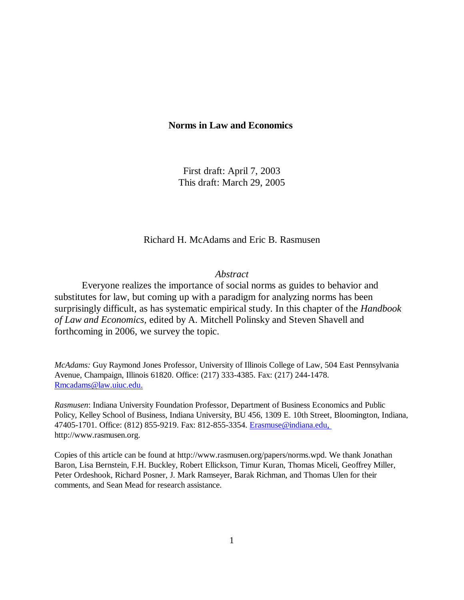## **Norms in Law and Economics**

First draft: April 7, 2003 This draft: March 29, 2005

## Richard H. McAdams and Eric B. Rasmusen

#### *Abstract*

Everyone realizes the importance of social norms as guides to behavior and substitutes for law, but coming up with a paradigm for analyzing norms has been surprisingly difficult, as has systematic empirical study. In this chapter of the *Handbook of Law and Economics*, edited by A. Mitchell Polinsky and Steven Shavell and forthcoming in 2006, we survey the topic.

*McAdams:* Guy Raymond Jones Professor, University of Illinois College of Law, 504 East Pennsylvania Avenue, Champaign, Illinois 61820. Office: (217) 333-4385. Fax: (217) 244-1478. Rmcadams@law.uiuc.edu.

*Rasmusen*: Indiana University Foundation Professor, Department of Business Economics and Public Policy, Kelley School of Business, Indiana University, BU 456, 1309 E. 10th Street, Bloomington, Indiana, 47405-1701. Office: (812) 855-9219. Fax: 812-855-3354. Erasmuse@indiana.edu, http://www.rasmusen.org.

Copies of this article can be found at http://www.rasmusen.org/papers/norms.wpd. We thank Jonathan Baron, Lisa Bernstein, F.H. Buckley, Robert Ellickson, Timur Kuran, Thomas Miceli, Geoffrey Miller, Peter Ordeshook, Richard Posner, J. Mark Ramseyer, Barak Richman, and Thomas Ulen for their comments, and Sean Mead for research assistance.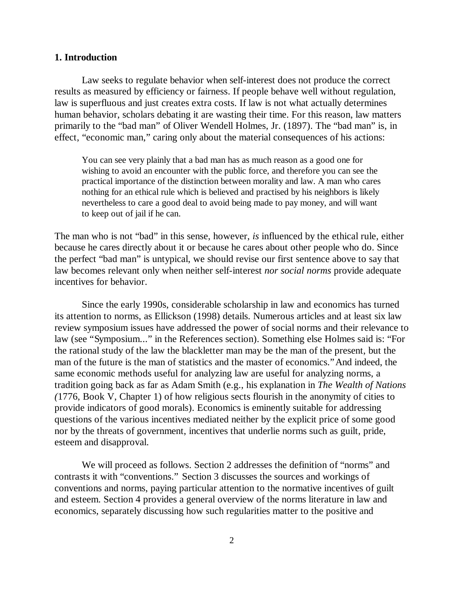## **1. Introduction**

Law seeks to regulate behavior when self-interest does not produce the correct results as measured by efficiency or fairness. If people behave well without regulation, law is superfluous and just creates extra costs. If law is not what actually determines human behavior, scholars debating it are wasting their time. For this reason, law matters primarily to the "bad man" of Oliver Wendell Holmes, Jr. (1897). The "bad man" is, in effect, "economic man," caring only about the material consequences of his actions:

You can see very plainly that a bad man has as much reason as a good one for wishing to avoid an encounter with the public force, and therefore you can see the practical importance of the distinction between morality and law. A man who cares nothing for an ethical rule which is believed and practised by his neighbors is likely nevertheless to care a good deal to avoid being made to pay money, and will want to keep out of jail if he can.

The man who is not "bad" in this sense, however, *is* influenced by the ethical rule, either because he cares directly about it or because he cares about other people who do. Since the perfect "bad man" is untypical, we should revise our first sentence above to say that law becomes relevant only when neither self-interest *nor social norms* provide adequate incentives for behavior.

Since the early 1990s, considerable scholarship in law and economics has turned its attention to norms, as Ellickson (1998) details. Numerous articles and at least six law review symposium issues have addressed the power of social norms and their relevance to law (see "Symposium..." in the References section). Something else Holmes said is: "For the rational study of the law the blackletter man may be the man of the present, but the man of the future is the man of statistics and the master of economics."And indeed, the same economic methods useful for analyzing law are useful for analyzing norms, a tradition going back as far as Adam Smith (e.g., his explanation in *The Wealth of Nations (*1776, Book V, Chapter 1) of how religious sects flourish in the anonymity of cities to provide indicators of good morals). Economics is eminently suitable for addressing questions of the various incentives mediated neither by the explicit price of some good nor by the threats of government, incentives that underlie norms such as guilt, pride, esteem and disapproval.

We will proceed as follows. Section 2 addresses the definition of "norms" and contrasts it with "conventions." Section 3 discusses the sources and workings of conventions and norms, paying particular attention to the normative incentives of guilt and esteem. Section 4 provides a general overview of the norms literature in law and economics, separately discussing how such regularities matter to the positive and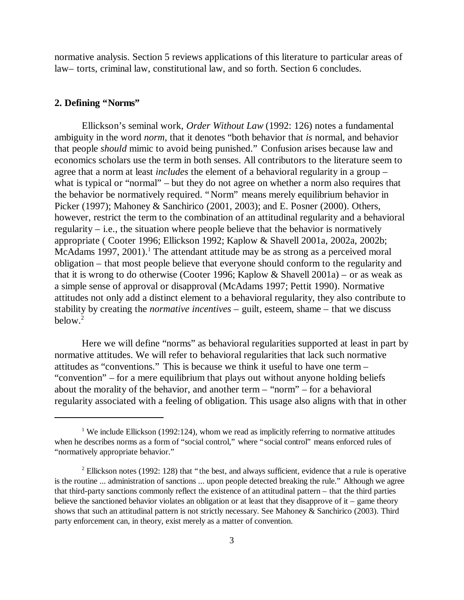normative analysis. Section 5 reviews applications of this literature to particular areas of law– torts, criminal law, constitutional law, and so forth. Section 6 concludes.

#### **2. Defining "Norms"**

Ellickson's seminal work, *Order Without Law* (1992: 126) notes a fundamental ambiguity in the word *norm*, that it denotes "both behavior that *is* normal, and behavior that people *should* mimic to avoid being punished." Confusion arises because law and economics scholars use the term in both senses. All contributors to the literature seem to agree that a norm at least *includes* the element of a behavioral regularity in a group – what is typical or "normal" – but they do not agree on whether a norm also requires that the behavior be normatively required. "Norm" means merely equilibrium behavior in Picker (1997); Mahoney & Sanchirico (2001, 2003); and E. Posner (2000). Others, however, restrict the term to the combination of an attitudinal regularity and a behavioral regularity – i.e., the situation where people believe that the behavior is normatively appropriate ( Cooter 1996; Ellickson 1992; Kaplow & Shavell 2001a, 2002a, 2002b; McAdams 1997, 2001).<sup>1</sup> The attendant attitude may be as strong as a perceived moral obligation – that most people believe that everyone should conform to the regularity and that it is wrong to do otherwise (Cooter 1996; Kaplow & Shavell 2001a) – or as weak as a simple sense of approval or disapproval (McAdams 1997; Pettit 1990). Normative attitudes not only add a distinct element to a behavioral regularity, they also contribute to stability by creating the *normative incentives* – guilt, esteem, shame – that we discuss below. $2$ 

Here we will define "norms" as behavioral regularities supported at least in part by normative attitudes. We will refer to behavioral regularities that lack such normative attitudes as "conventions." This is because we think it useful to have one term – "convention" – for a mere equilibrium that plays out without anyone holding beliefs about the morality of the behavior, and another term – "norm" – for a behavioral regularity associated with a feeling of obligation. This usage also aligns with that in other

<sup>&</sup>lt;sup>1</sup> We include Ellickson (1992:124), whom we read as implicitly referring to normative attitudes when he describes norms as a form of "social control," where "social control" means enforced rules of "normatively appropriate behavior."

 $2$  Ellickson notes (1992: 128) that "the best, and always sufficient, evidence that a rule is operative is the routine ... administration of sanctions ... upon people detected breaking the rule." Although we agree that third-party sanctions commonly reflect the existence of an attitudinal pattern – that the third parties believe the sanctioned behavior violates an obligation or at least that they disapprove of it – game theory shows that such an attitudinal pattern is not strictly necessary. See Mahoney & Sanchirico (2003). Third party enforcement can, in theory, exist merely as a matter of convention.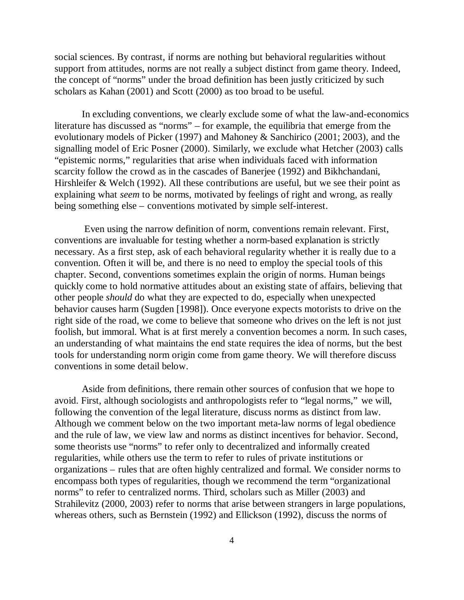social sciences. By contrast, if norms are nothing but behavioral regularities without support from attitudes, norms are not really a subject distinct from game theory. Indeed, the concept of "norms" under the broad definition has been justly criticized by such scholars as Kahan (2001) and Scott (2000) as too broad to be useful.

In excluding conventions, we clearly exclude some of what the law-and-economics literature has discussed as "norms" – for example, the equilibria that emerge from the evolutionary models of Picker (1997) and Mahoney & Sanchirico (2001; 2003), and the signalling model of Eric Posner (2000). Similarly, we exclude what Hetcher (2003) calls "epistemic norms," regularities that arise when individuals faced with information scarcity follow the crowd as in the cascades of Banerjee (1992) and Bikhchandani, Hirshleifer & Welch (1992). All these contributions are useful, but we see their point as explaining what *seem* to be norms, motivated by feelings of right and wrong, as really being something else – conventions motivated by simple self-interest.

 Even using the narrow definition of norm, conventions remain relevant. First, conventions are invaluable for testing whether a norm-based explanation is strictly necessary. As a first step, ask of each behavioral regularity whether it is really due to a convention. Often it will be, and there is no need to employ the special tools of this chapter. Second, conventions sometimes explain the origin of norms. Human beings quickly come to hold normative attitudes about an existing state of affairs, believing that other people *should* do what they are expected to do, especially when unexpected behavior causes harm (Sugden [1998]). Once everyone expects motorists to drive on the right side of the road, we come to believe that someone who drives on the left is not just foolish, but immoral. What is at first merely a convention becomes a norm. In such cases, an understanding of what maintains the end state requires the idea of norms, but the best tools for understanding norm origin come from game theory. We will therefore discuss conventions in some detail below.

Aside from definitions, there remain other sources of confusion that we hope to avoid. First, although sociologists and anthropologists refer to "legal norms," we will, following the convention of the legal literature, discuss norms as distinct from law. Although we comment below on the two important meta-law norms of legal obedience and the rule of law, we view law and norms as distinct incentives for behavior. Second, some theorists use "norms" to refer only to decentralized and informally created regularities, while others use the term to refer to rules of private institutions or organizations – rules that are often highly centralized and formal. We consider norms to encompass both types of regularities, though we recommend the term "organizational norms" to refer to centralized norms. Third, scholars such as Miller (2003) and Strahilevitz (2000, 2003) refer to norms that arise between strangers in large populations, whereas others, such as Bernstein (1992) and Ellickson (1992), discuss the norms of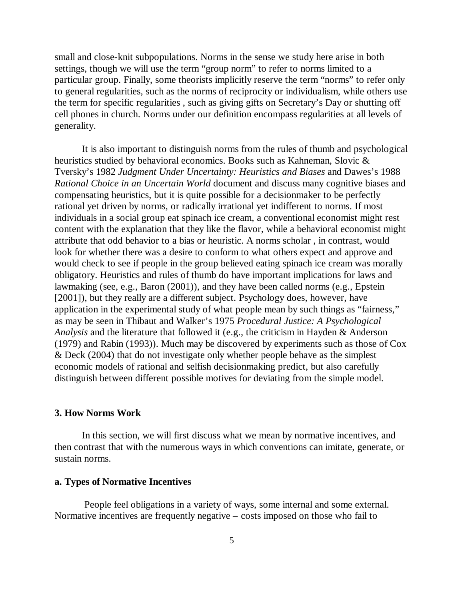small and close-knit subpopulations. Norms in the sense we study here arise in both settings, though we will use the term "group norm" to refer to norms limited to a particular group. Finally, some theorists implicitly reserve the term "norms" to refer only to general regularities, such as the norms of reciprocity or individualism, while others use the term for specific regularities , such as giving gifts on Secretary's Day or shutting off cell phones in church. Norms under our definition encompass regularities at all levels of generality.

It is also important to distinguish norms from the rules of thumb and psychological heuristics studied by behavioral economics. Books such as Kahneman, Slovic & Tversky's 1982 *Judgment Under Uncertainty: Heuristics and Biases* and Dawes's 1988 *Rational Choice in an Uncertain World* document and discuss many cognitive biases and compensating heuristics, but it is quite possible for a decisionmaker to be perfectly rational yet driven by norms, or radically irrational yet indifferent to norms. If most individuals in a social group eat spinach ice cream, a conventional economist might rest content with the explanation that they like the flavor, while a behavioral economist might attribute that odd behavior to a bias or heuristic. A norms scholar , in contrast, would look for whether there was a desire to conform to what others expect and approve and would check to see if people in the group believed eating spinach ice cream was morally obligatory. Heuristics and rules of thumb do have important implications for laws and lawmaking (see, e.g., Baron (2001)), and they have been called norms (e.g., Epstein [2001]), but they really are a different subject. Psychology does, however, have application in the experimental study of what people mean by such things as "fairness," as may be seen in Thibaut and Walker's 1975 *Procedural Justice: A Psychological Analysis* and the literature that followed it (e.g., the criticism in Hayden & Anderson (1979) and Rabin (1993)). Much may be discovered by experiments such as those of Cox & Deck (2004) that do not investigate only whether people behave as the simplest economic models of rational and selfish decisionmaking predict, but also carefully distinguish between different possible motives for deviating from the simple model.

#### **3. How Norms Work**

In this section, we will first discuss what we mean by normative incentives, and then contrast that with the numerous ways in which conventions can imitate, generate, or sustain norms.

## **a. Types of Normative Incentives**

 People feel obligations in a variety of ways, some internal and some external. Normative incentives are frequently negative – costs imposed on those who fail to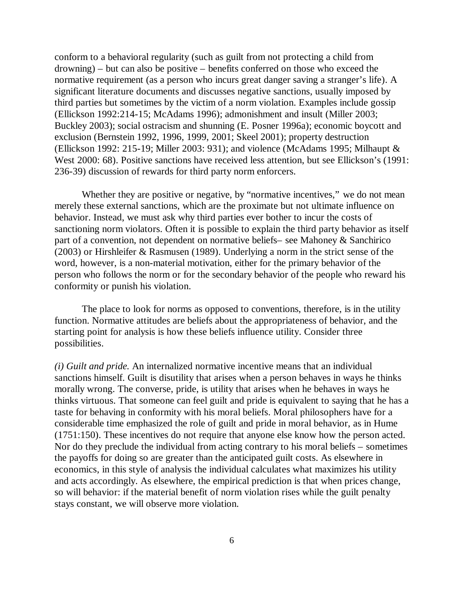conform to a behavioral regularity (such as guilt from not protecting a child from drowning) – but can also be positive – benefits conferred on those who exceed the normative requirement (as a person who incurs great danger saving a stranger's life). A significant literature documents and discusses negative sanctions, usually imposed by third parties but sometimes by the victim of a norm violation. Examples include gossip (Ellickson 1992:214-15; McAdams 1996); admonishment and insult (Miller 2003; Buckley 2003); social ostracism and shunning (E. Posner 1996a); economic boycott and exclusion (Bernstein 1992, 1996, 1999, 2001; Skeel 2001); property destruction (Ellickson 1992: 215-19; Miller 2003: 931); and violence (McAdams 1995; Milhaupt & West 2000: 68). Positive sanctions have received less attention, but see Ellickson's (1991: 236-39) discussion of rewards for third party norm enforcers.

Whether they are positive or negative, by "normative incentives," we do not mean merely these external sanctions, which are the proximate but not ultimate influence on behavior. Instead, we must ask why third parties ever bother to incur the costs of sanctioning norm violators. Often it is possible to explain the third party behavior as itself part of a convention, not dependent on normative beliefs– see Mahoney & Sanchirico (2003) or Hirshleifer & Rasmusen (1989). Underlying a norm in the strict sense of the word, however, is a non-material motivation, either for the primary behavior of the person who follows the norm or for the secondary behavior of the people who reward his conformity or punish his violation.

The place to look for norms as opposed to conventions, therefore, is in the utility function. Normative attitudes are beliefs about the appropriateness of behavior, and the starting point for analysis is how these beliefs influence utility. Consider three possibilities.

*(i) Guilt and pride.* An internalized normative incentive means that an individual sanctions himself. Guilt is disutility that arises when a person behaves in ways he thinks morally wrong. The converse, pride, is utility that arises when he behaves in ways he thinks virtuous. That someone can feel guilt and pride is equivalent to saying that he has a taste for behaving in conformity with his moral beliefs. Moral philosophers have for a considerable time emphasized the role of guilt and pride in moral behavior, as in Hume (1751:150). These incentives do not require that anyone else know how the person acted. Nor do they preclude the individual from acting contrary to his moral beliefs – sometimes the payoffs for doing so are greater than the anticipated guilt costs. As elsewhere in economics, in this style of analysis the individual calculates what maximizes his utility and acts accordingly. As elsewhere, the empirical prediction is that when prices change, so will behavior: if the material benefit of norm violation rises while the guilt penalty stays constant, we will observe more violation.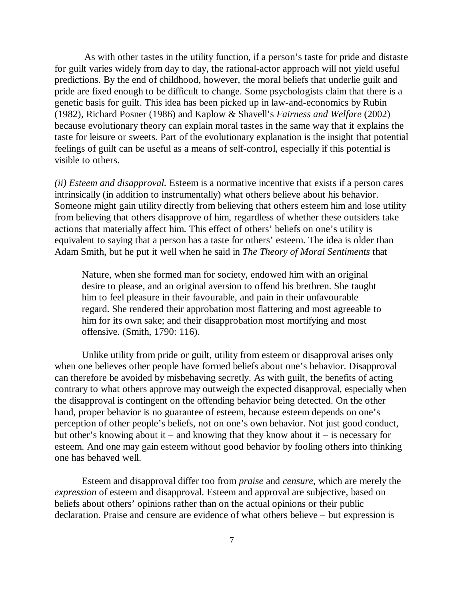As with other tastes in the utility function, if a person's taste for pride and distaste for guilt varies widely from day to day, the rational-actor approach will not yield useful predictions. By the end of childhood, however, the moral beliefs that underlie guilt and pride are fixed enough to be difficult to change. Some psychologists claim that there is a genetic basis for guilt. This idea has been picked up in law-and-economics by Rubin (1982), Richard Posner (1986) and Kaplow & Shavell's *Fairness and Welfare* (2002) because evolutionary theory can explain moral tastes in the same way that it explains the taste for leisure or sweets. Part of the evolutionary explanation is the insight that potential feelings of guilt can be useful as a means of self-control, especially if this potential is visible to others.

*(ii) Esteem and disapproval.* Esteem is a normative incentive that exists if a person cares intrinsically (in addition to instrumentally) what others believe about his behavior. Someone might gain utility directly from believing that others esteem him and lose utility from believing that others disapprove of him, regardless of whether these outsiders take actions that materially affect him. This effect of others' beliefs on one's utility is equivalent to saying that a person has a taste for others' esteem. The idea is older than Adam Smith, but he put it well when he said in *The Theory of Moral Sentiments* that

Nature, when she formed man for society, endowed him with an original desire to please, and an original aversion to offend his brethren. She taught him to feel pleasure in their favourable, and pain in their unfavourable regard. She rendered their approbation most flattering and most agreeable to him for its own sake; and their disapprobation most mortifying and most offensive. (Smith, 1790: 116).

Unlike utility from pride or guilt, utility from esteem or disapproval arises only when one believes other people have formed beliefs about one's behavior. Disapproval can therefore be avoided by misbehaving secretly. As with guilt, the benefits of acting contrary to what others approve may outweigh the expected disapproval, especially when the disapproval is contingent on the offending behavior being detected. On the other hand, proper behavior is no guarantee of esteem, because esteem depends on one's perception of other people's beliefs, not on one's own behavior. Not just good conduct, but other's knowing about it – and knowing that they know about it – is necessary for esteem. And one may gain esteem without good behavior by fooling others into thinking one has behaved well.

Esteem and disapproval differ too from *praise* and *censure*, which are merely the *expression* of esteem and disapproval. Esteem and approval are subjective, based on beliefs about others' opinions rather than on the actual opinions or their public declaration. Praise and censure are evidence of what others believe – but expression is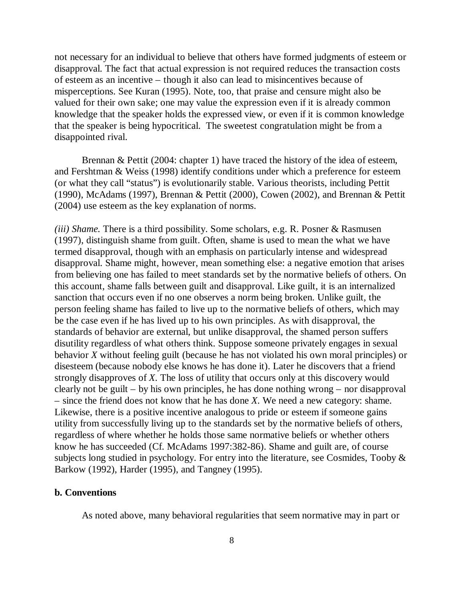not necessary for an individual to believe that others have formed judgments of esteem or disapproval. The fact that actual expression is not required reduces the transaction costs of esteem as an incentive – though it also can lead to misincentives because of misperceptions. See Kuran (1995). Note, too, that praise and censure might also be valued for their own sake; one may value the expression even if it is already common knowledge that the speaker holds the expressed view, or even if it is common knowledge that the speaker is being hypocritical. The sweetest congratulation might be from a disappointed rival.

Brennan & Pettit (2004: chapter 1) have traced the history of the idea of esteem, and Fershtman & Weiss (1998) identify conditions under which a preference for esteem (or what they call "status") is evolutionarily stable. Various theorists, including Pettit (1990), McAdams (1997), Brennan & Pettit (2000), Cowen (2002), and Brennan & Pettit (2004) use esteem as the key explanation of norms.

*(iii) Shame.* There is a third possibility. Some scholars, e.g. R. Posner & Rasmusen (1997), distinguish shame from guilt. Often, shame is used to mean the what we have termed disapproval, though with an emphasis on particularly intense and widespread disapproval. Shame might, however, mean something else: a negative emotion that arises from believing one has failed to meet standards set by the normative beliefs of others. On this account, shame falls between guilt and disapproval. Like guilt, it is an internalized sanction that occurs even if no one observes a norm being broken. Unlike guilt, the person feeling shame has failed to live up to the normative beliefs of others, which may be the case even if he has lived up to his own principles. As with disapproval, the standards of behavior are external, but unlike disapproval, the shamed person suffers disutility regardless of what others think. Suppose someone privately engages in sexual behavior *X* without feeling guilt (because he has not violated his own moral principles) or disesteem (because nobody else knows he has done it). Later he discovers that a friend strongly disapproves of *X*. The loss of utility that occurs only at this discovery would clearly not be guilt – by his own principles, he has done nothing wrong – nor disapproval – since the friend does not know that he has done *X*. We need a new category: shame. Likewise, there is a positive incentive analogous to pride or esteem if someone gains utility from successfully living up to the standards set by the normative beliefs of others, regardless of where whether he holds those same normative beliefs or whether others know he has succeeded (Cf. McAdams 1997:382-86). Shame and guilt are, of course subjects long studied in psychology. For entry into the literature, see Cosmides, Tooby & Barkow (1992), Harder (1995), and Tangney (1995).

## **b. Conventions**

As noted above, many behavioral regularities that seem normative may in part or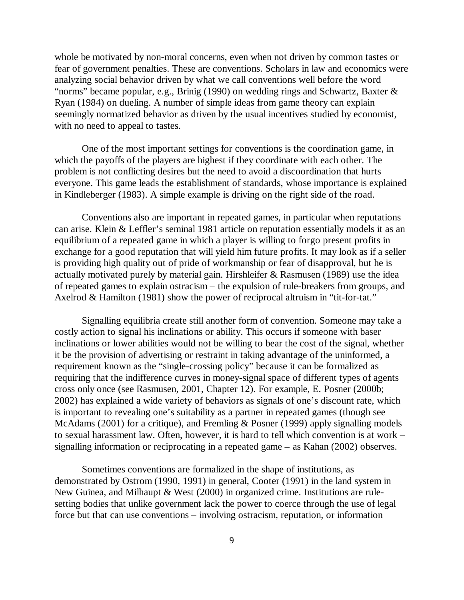whole be motivated by non-moral concerns, even when not driven by common tastes or fear of government penalties. These are conventions. Scholars in law and economics were analyzing social behavior driven by what we call conventions well before the word "norms" became popular, e.g., Brinig (1990) on wedding rings and Schwartz, Baxter & Ryan (1984) on dueling. A number of simple ideas from game theory can explain seemingly normatized behavior as driven by the usual incentives studied by economist, with no need to appeal to tastes.

One of the most important settings for conventions is the coordination game, in which the payoffs of the players are highest if they coordinate with each other. The problem is not conflicting desires but the need to avoid a discoordination that hurts everyone. This game leads the establishment of standards, whose importance is explained in Kindleberger (1983). A simple example is driving on the right side of the road.

Conventions also are important in repeated games, in particular when reputations can arise. Klein & Leffler's seminal 1981 article on reputation essentially models it as an equilibrium of a repeated game in which a player is willing to forgo present profits in exchange for a good reputation that will yield him future profits. It may look as if a seller is providing high quality out of pride of workmanship or fear of disapproval, but he is actually motivated purely by material gain. Hirshleifer & Rasmusen (1989) use the idea of repeated games to explain ostracism – the expulsion of rule-breakers from groups, and Axelrod & Hamilton (1981) show the power of reciprocal altruism in "tit-for-tat."

Signalling equilibria create still another form of convention. Someone may take a costly action to signal his inclinations or ability. This occurs if someone with baser inclinations or lower abilities would not be willing to bear the cost of the signal, whether it be the provision of advertising or restraint in taking advantage of the uninformed, a requirement known as the "single-crossing policy" because it can be formalized as requiring that the indifference curves in money-signal space of different types of agents cross only once (see Rasmusen, 2001, Chapter 12). For example, E. Posner (2000b; 2002) has explained a wide variety of behaviors as signals of one's discount rate, which is important to revealing one's suitability as a partner in repeated games (though see McAdams (2001) for a critique), and Fremling & Posner (1999) apply signalling models to sexual harassment law. Often, however, it is hard to tell which convention is at work – signalling information or reciprocating in a repeated game – as Kahan (2002) observes.

Sometimes conventions are formalized in the shape of institutions, as demonstrated by Ostrom (1990, 1991) in general, Cooter (1991) in the land system in New Guinea, and Milhaupt & West (2000) in organized crime. Institutions are rulesetting bodies that unlike government lack the power to coerce through the use of legal force but that can use conventions – involving ostracism, reputation, or information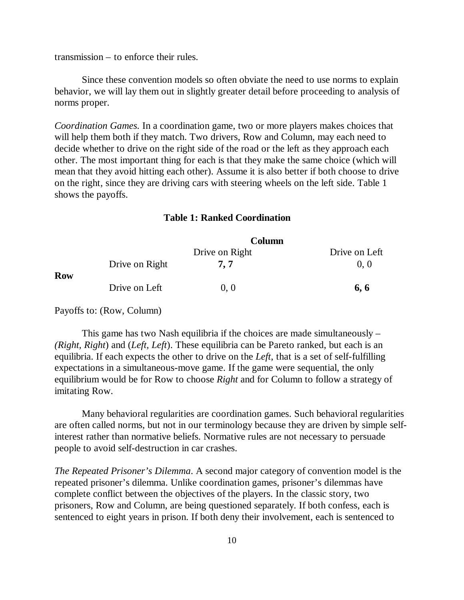transmission – to enforce their rules.

Since these convention models so often obviate the need to use norms to explain behavior, we will lay them out in slightly greater detail before proceeding to analysis of norms proper.

*Coordination Games.* In a coordination game, two or more players makes choices that will help them both if they match. Two drivers, Row and Column, may each need to decide whether to drive on the right side of the road or the left as they approach each other. The most important thing for each is that they make the same choice (which will mean that they avoid hitting each other). Assume it is also better if both choose to drive on the right, since they are driving cars with steering wheels on the left side. Table 1 shows the payoffs.

#### **Table 1: Ranked Coordination**

|            |                | Column         |               |  |
|------------|----------------|----------------|---------------|--|
|            |                | Drive on Right | Drive on Left |  |
| <b>Row</b> | Drive on Right | 7.7            | 0.0           |  |
|            | Drive on Left  | 0, 0           | 6, 6          |  |

Payoffs to: (Row, Column)

This game has two Nash equilibria if the choices are made simultaneously – *(Right, Right*) and (*Left, Left*). These equilibria can be Pareto ranked, but each is an equilibria. If each expects the other to drive on the *Left*, that is a set of self-fulfilling expectations in a simultaneous-move game. If the game were sequential, the only equilibrium would be for Row to choose *Right* and for Column to follow a strategy of imitating Row.

Many behavioral regularities are coordination games. Such behavioral regularities are often called norms, but not in our terminology because they are driven by simple selfinterest rather than normative beliefs. Normative rules are not necessary to persuade people to avoid self-destruction in car crashes.

*The Repeated Prisoner's Dilemma*. A second major category of convention model is the repeated prisoner's dilemma. Unlike coordination games, prisoner's dilemmas have complete conflict between the objectives of the players. In the classic story, two prisoners, Row and Column, are being questioned separately. If both confess, each is sentenced to eight years in prison. If both deny their involvement, each is sentenced to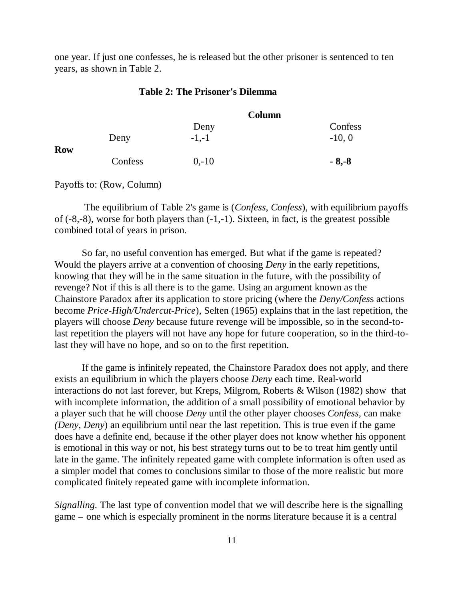one year. If just one confesses, he is released but the other prisoner is sentenced to ten years, as shown in Table 2.

#### **Table 2: The Prisoner's Dilemma**

|     |         | Column          |                     |  |
|-----|---------|-----------------|---------------------|--|
|     | Deny    | Deny<br>$-1,-1$ | Confess<br>$-10, 0$ |  |
| Row |         |                 |                     |  |
|     | Confess | $0,-10$         | $-8,-8$             |  |

Payoffs to: (Row, Column)

 The equilibrium of Table 2's game is (*Confess, Confess*), with equilibrium payoffs of (-8,-8), worse for both players than (-1,-1). Sixteen, in fact, is the greatest possible combined total of years in prison.

So far, no useful convention has emerged. But what if the game is repeated? Would the players arrive at a convention of choosing *Deny* in the early repetitions, knowing that they will be in the same situation in the future, with the possibility of revenge? Not if this is all there is to the game. Using an argument known as the Chainstore Paradox after its application to store pricing (where the *Deny/Confes*s actions become *Price-High/Undercut-Price*), Selten (1965) explains that in the last repetition, the players will choose *Deny* because future revenge will be impossible, so in the second-tolast repetition the players will not have any hope for future cooperation, so in the third-tolast they will have no hope, and so on to the first repetition.

If the game is infinitely repeated, the Chainstore Paradox does not apply, and there exists an equilibrium in which the players choose *Deny* each time. Real-world interactions do not last forever, but Kreps, Milgrom, Roberts & Wilson (1982) show that with incomplete information, the addition of a small possibility of emotional behavior by a player such that he will choose *Deny* until the other player chooses *Confess,* can make *(Deny*, *Deny*) an equilibrium until near the last repetition. This is true even if the game does have a definite end, because if the other player does not know whether his opponent is emotional in this way or not, his best strategy turns out to be to treat him gently until late in the game. The infinitely repeated game with complete information is often used as a simpler model that comes to conclusions similar to those of the more realistic but more complicated finitely repeated game with incomplete information.

*Signalling.* The last type of convention model that we will describe here is the signalling game – one which is especially prominent in the norms literature because it is a central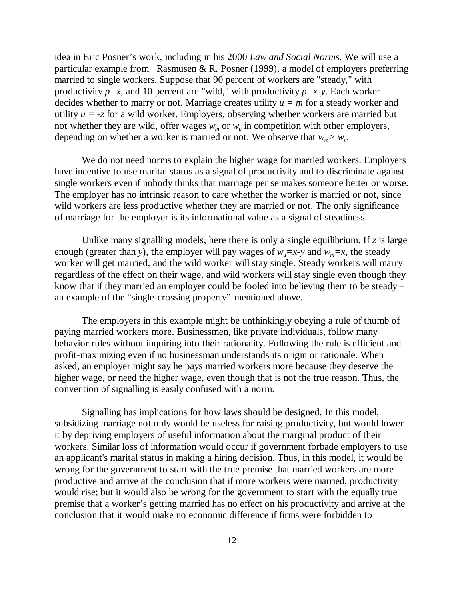idea in Eric Posner's work, including in his 2000 *Law and Social Norms*. We will use a particular example from Rasmusen & R. Posner (1999), a model of employers preferring married to single workers. Suppose that 90 percent of workers are "steady," with productivity  $p=x$ , and 10 percent are "wild," with productivity  $p=x-y$ . Each worker decides whether to marry or not. Marriage creates utility *u = m* for a steady worker and utility  $u = -z$  for a wild worker. Employers, observing whether workers are married but not whether they are wild, offer wages  $w_m$  or  $w_u$  in competition with other employers, depending on whether a worker is married or not. We observe that  $w_m > w_u$ .

We do not need norms to explain the higher wage for married workers. Employers have incentive to use marital status as a signal of productivity and to discriminate against single workers even if nobody thinks that marriage per se makes someone better or worse. The employer has no intrinsic reason to care whether the worker is married or not, since wild workers are less productive whether they are married or not. The only significance of marriage for the employer is its informational value as a signal of steadiness.

Unlike many signalling models, here there is only a single equilibrium. If *z* is large enough (greater than *y*), the employer will pay wages of  $w_u = x - y$  and  $w_m = x$ , the steady worker will get married, and the wild worker will stay single. Steady workers will marry regardless of the effect on their wage, and wild workers will stay single even though they know that if they married an employer could be fooled into believing them to be steady – an example of the "single-crossing property" mentioned above.

The employers in this example might be unthinkingly obeying a rule of thumb of paying married workers more. Businessmen, like private individuals, follow many behavior rules without inquiring into their rationality. Following the rule is efficient and profit-maximizing even if no businessman understands its origin or rationale. When asked, an employer might say he pays married workers more because they deserve the higher wage, or need the higher wage, even though that is not the true reason. Thus, the convention of signalling is easily confused with a norm.

Signalling has implications for how laws should be designed. In this model, subsidizing marriage not only would be useless for raising productivity, but would lower it by depriving employers of useful information about the marginal product of their workers. Similar loss of information would occur if government forbade employers to use an applicant's marital status in making a hiring decision. Thus, in this model, it would be wrong for the government to start with the true premise that married workers are more productive and arrive at the conclusion that if more workers were married, productivity would rise; but it would also be wrong for the government to start with the equally true premise that a worker's getting married has no effect on his productivity and arrive at the conclusion that it would make no economic difference if firms were forbidden to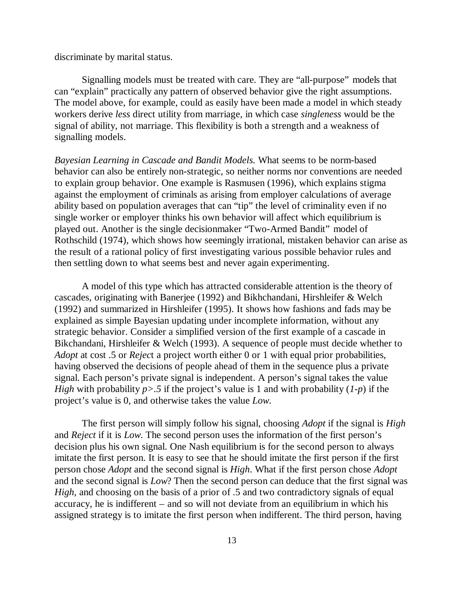discriminate by marital status.

Signalling models must be treated with care. They are "all-purpose" models that can "explain" practically any pattern of observed behavior give the right assumptions. The model above, for example, could as easily have been made a model in which steady workers derive *less* direct utility from marriage, in which case *singleness* would be the signal of ability, not marriage. This flexibility is both a strength and a weakness of signalling models.

*Bayesian Learning in Cascade and Bandit Models.* What seems to be norm-based behavior can also be entirely non-strategic, so neither norms nor conventions are needed to explain group behavior. One example is Rasmusen (1996), which explains stigma against the employment of criminals as arising from employer calculations of average ability based on population averages that can "tip" the level of criminality even if no single worker or employer thinks his own behavior will affect which equilibrium is played out. Another is the single decisionmaker "Two-Armed Bandit" model of Rothschild (1974), which shows how seemingly irrational, mistaken behavior can arise as the result of a rational policy of first investigating various possible behavior rules and then settling down to what seems best and never again experimenting.

A model of this type which has attracted considerable attention is the theory of cascades, originating with Banerjee (1992) and Bikhchandani, Hirshleifer & Welch (1992) and summarized in Hirshleifer (1995). It shows how fashions and fads may be explained as simple Bayesian updating under incomplete information, without any strategic behavior. Consider a simplified version of the first example of a cascade in Bikchandani, Hirshleifer & Welch (1993). A sequence of people must decide whether to *Adopt* at cost .5 or *Rejec*t a project worth either 0 or 1 with equal prior probabilities, having observed the decisions of people ahead of them in the sequence plus a private signal. Each person's private signal is independent. A person's signal takes the value *High* with probability  $p > 0.5$  if the project's value is 1 and with probability  $(1-p)$  if the project's value is 0, and otherwise takes the value *Low*.

The first person will simply follow his signal, choosing *Adopt* if the signal is *High* and *Reject* if it is *Low*. The second person uses the information of the first person's decision plus his own signal. One Nash equilibrium is for the second person to always imitate the first person. It is easy to see that he should imitate the first person if the first person chose *Adopt* and the second signal is *High*. What if the first person chose *Adopt* and the second signal is *Low*? Then the second person can deduce that the first signal was *High*, and choosing on the basis of a prior of .5 and two contradictory signals of equal accuracy, he is indifferent – and so will not deviate from an equilibrium in which his assigned strategy is to imitate the first person when indifferent. The third person, having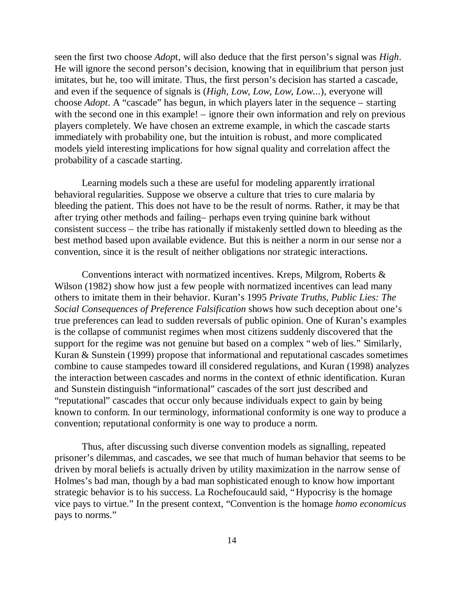seen the first two choose *Adop*t, will also deduce that the first person's signal was *High*. He will ignore the second person's decision, knowing that in equilibrium that person just imitates, but he, too will imitate. Thus, the first person's decision has started a cascade, and even if the sequence of signals is (*High, Low, Low, Low, Low*...), everyone will choose *Adopt*. A "cascade" has begun, in which players later in the sequence – starting with the second one in this example! – ignore their own information and rely on previous players completely. We have chosen an extreme example, in which the cascade starts immediately with probability one, but the intuition is robust, and more complicated models yield interesting implications for how signal quality and correlation affect the probability of a cascade starting.

Learning models such a these are useful for modeling apparently irrational behavioral regularities. Suppose we observe a culture that tries to cure malaria by bleeding the patient. This does not have to be the result of norms. Rather, it may be that after trying other methods and failing– perhaps even trying quinine bark without consistent success – the tribe has rationally if mistakenly settled down to bleeding as the best method based upon available evidence. But this is neither a norm in our sense nor a convention, since it is the result of neither obligations nor strategic interactions.

Conventions interact with normatized incentives. Kreps, Milgrom, Roberts & Wilson (1982) show how just a few people with normatized incentives can lead many others to imitate them in their behavior. Kuran's 1995 *Private Truths, Public Lies: The Social Consequences of Preference Falsification* shows how such deception about one's true preferences can lead to sudden reversals of public opinion. One of Kuran's examples is the collapse of communist regimes when most citizens suddenly discovered that the support for the regime was not genuine but based on a complex "web of lies." Similarly, Kuran & Sunstein (1999) propose that informational and reputational cascades sometimes combine to cause stampedes toward ill considered regulations, and Kuran (1998) analyzes the interaction between cascades and norms in the context of ethnic identification. Kuran and Sunstein distinguish "informational" cascades of the sort just described and "reputational" cascades that occur only because individuals expect to gain by being known to conform. In our terminology, informational conformity is one way to produce a convention; reputational conformity is one way to produce a norm.

Thus, after discussing such diverse convention models as signalling, repeated prisoner's dilemmas, and cascades, we see that much of human behavior that seems to be driven by moral beliefs is actually driven by utility maximization in the narrow sense of Holmes's bad man, though by a bad man sophisticated enough to know how important strategic behavior is to his success. La Rochefoucauld said, "Hypocrisy is the homage vice pays to virtue." In the present context, "Convention is the homage *homo economicus* pays to norms."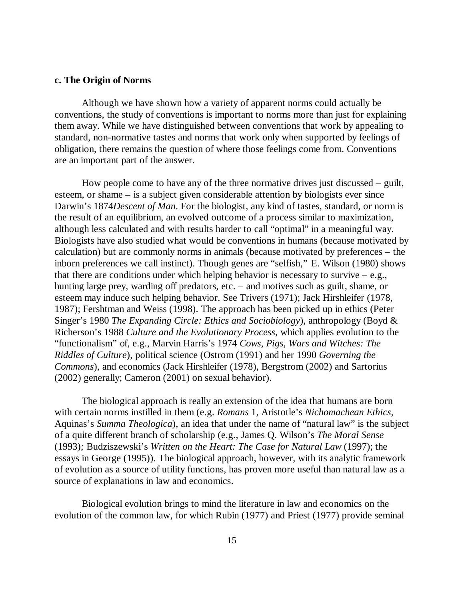#### **c. The Origin of Norms**

Although we have shown how a variety of apparent norms could actually be conventions, the study of conventions is important to norms more than just for explaining them away. While we have distinguished between conventions that work by appealing to standard, non-normative tastes and norms that work only when supported by feelings of obligation, there remains the question of where those feelings come from. Conventions are an important part of the answer.

How people come to have any of the three normative drives just discussed – guilt, esteem, or shame – is a subject given considerable attention by biologists ever since Darwin's 1874*Descent of Man*. For the biologist, any kind of tastes, standard, or norm is the result of an equilibrium, an evolved outcome of a process similar to maximization, although less calculated and with results harder to call "optimal" in a meaningful way. Biologists have also studied what would be conventions in humans (because motivated by calculation) but are commonly norms in animals (because motivated by preferences – the inborn preferences we call instinct). Though genes are "selfish," E. Wilson (1980) shows that there are conditions under which helping behavior is necessary to survive  $-$  e.g., hunting large prey, warding off predators, etc. – and motives such as guilt, shame, or esteem may induce such helping behavior. See Trivers (1971); Jack Hirshleifer (1978, 1987); Fershtman and Weiss (1998). The approach has been picked up in ethics (Peter Singer's 1980 *The Expanding Circle: Ethics and Sociobiology*), anthropology (Boyd & Richerson's 1988 *Culture and the Evolutionary Process*, which applies evolution to the "functionalism" of, e.g., Marvin Harris's 1974 *Cows, Pigs, Wars and Witches: The Riddles of Culture*), political science (Ostrom (1991) and her 1990 *Governing the Commons*), and economics (Jack Hirshleifer (1978), Bergstrom (2002) and Sartorius (2002) generally; Cameron (2001) on sexual behavior).

The biological approach is really an extension of the idea that humans are born with certain norms instilled in them (e.g. *Romans* 1, Aristotle's *Nichomachean Ethics*, Aquinas's *Summa Theologica*), an idea that under the name of "natural law" is the subject of a quite different branch of scholarship (e.g., James Q. Wilson's *The Moral Sense* (1993)*;* Budziszewski's *Written on the Heart: The Case for Natural Law* (1997); the essays in George (1995)). The biological approach, however, with its analytic framework of evolution as a source of utility functions, has proven more useful than natural law as a source of explanations in law and economics.

Biological evolution brings to mind the literature in law and economics on the evolution of the common law, for which Rubin (1977) and Priest (1977) provide seminal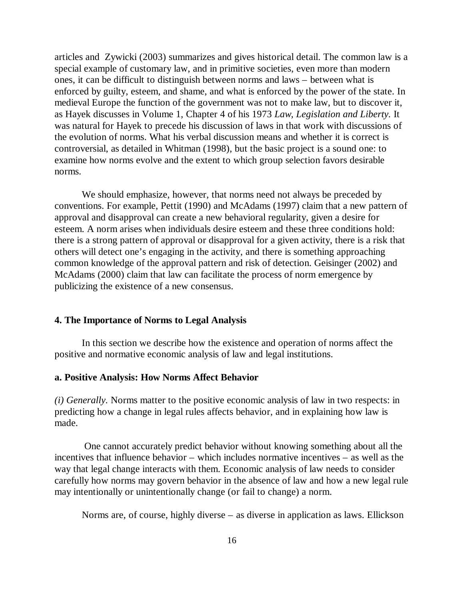articles and Zywicki (2003) summarizes and gives historical detail. The common law is a special example of customary law, and in primitive societies, even more than modern ones, it can be difficult to distinguish between norms and laws – between what is enforced by guilty, esteem, and shame, and what is enforced by the power of the state. In medieval Europe the function of the government was not to make law, but to discover it, as Hayek discusses in Volume 1, Chapter 4 of his 1973 *Law, Legislation and Liberty.* It was natural for Hayek to precede his discussion of laws in that work with discussions of the evolution of norms. What his verbal discussion means and whether it is correct is controversial, as detailed in Whitman (1998), but the basic project is a sound one: to examine how norms evolve and the extent to which group selection favors desirable norms.

We should emphasize, however, that norms need not always be preceded by conventions. For example, Pettit (1990) and McAdams (1997) claim that a new pattern of approval and disapproval can create a new behavioral regularity, given a desire for esteem. A norm arises when individuals desire esteem and these three conditions hold: there is a strong pattern of approval or disapproval for a given activity, there is a risk that others will detect one's engaging in the activity, and there is something approaching common knowledge of the approval pattern and risk of detection. Geisinger (2002) and McAdams (2000) claim that law can facilitate the process of norm emergence by publicizing the existence of a new consensus.

#### **4. The Importance of Norms to Legal Analysis**

In this section we describe how the existence and operation of norms affect the positive and normative economic analysis of law and legal institutions.

## **a. Positive Analysis: How Norms Affect Behavior**

*(i) Generally.* Norms matter to the positive economic analysis of law in two respects: in predicting how a change in legal rules affects behavior, and in explaining how law is made.

 One cannot accurately predict behavior without knowing something about all the incentives that influence behavior – which includes normative incentives – as well as the way that legal change interacts with them. Economic analysis of law needs to consider carefully how norms may govern behavior in the absence of law and how a new legal rule may intentionally or unintentionally change (or fail to change) a norm.

Norms are, of course, highly diverse – as diverse in application as laws. Ellickson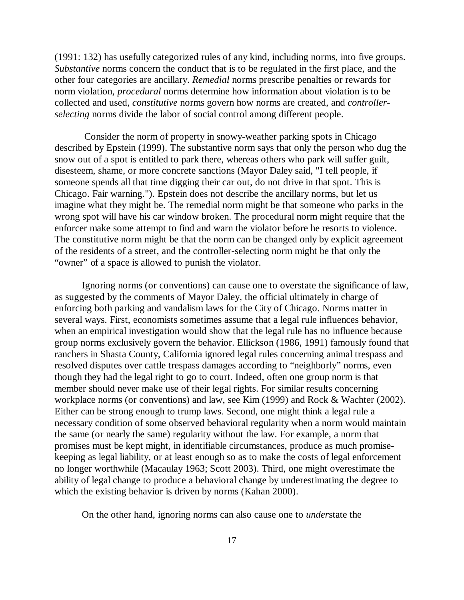(1991: 132) has usefully categorized rules of any kind, including norms, into five groups. *Substantive* norms concern the conduct that is to be regulated in the first place, and the other four categories are ancillary. *Remedial* norms prescribe penalties or rewards for norm violation, *procedural* norms determine how information about violation is to be collected and used, *constitutive* norms govern how norms are created, and *controllerselecting* norms divide the labor of social control among different people.

 Consider the norm of property in snowy-weather parking spots in Chicago described by Epstein (1999). The substantive norm says that only the person who dug the snow out of a spot is entitled to park there, whereas others who park will suffer guilt, disesteem, shame, or more concrete sanctions (Mayor Daley said, "I tell people, if someone spends all that time digging their car out, do not drive in that spot. This is Chicago. Fair warning."). Epstein does not describe the ancillary norms, but let us imagine what they might be. The remedial norm might be that someone who parks in the wrong spot will have his car window broken. The procedural norm might require that the enforcer make some attempt to find and warn the violator before he resorts to violence. The constitutive norm might be that the norm can be changed only by explicit agreement of the residents of a street, and the controller-selecting norm might be that only the "owner" of a space is allowed to punish the violator.

Ignoring norms (or conventions) can cause one to overstate the significance of law, as suggested by the comments of Mayor Daley, the official ultimately in charge of enforcing both parking and vandalism laws for the City of Chicago. Norms matter in several ways. First, economists sometimes assume that a legal rule influences behavior, when an empirical investigation would show that the legal rule has no influence because group norms exclusively govern the behavior. Ellickson (1986, 1991) famously found that ranchers in Shasta County, California ignored legal rules concerning animal trespass and resolved disputes over cattle trespass damages according to "neighborly" norms, even though they had the legal right to go to court. Indeed, often one group norm is that member should never make use of their legal rights. For similar results concerning workplace norms (or conventions) and law, see Kim (1999) and Rock & Wachter (2002). Either can be strong enough to trump laws. Second, one might think a legal rule a necessary condition of some observed behavioral regularity when a norm would maintain the same (or nearly the same) regularity without the law. For example, a norm that promises must be kept might, in identifiable circumstances, produce as much promisekeeping as legal liability, or at least enough so as to make the costs of legal enforcement no longer worthwhile (Macaulay 1963; Scott 2003). Third, one might overestimate the ability of legal change to produce a behavioral change by underestimating the degree to which the existing behavior is driven by norms (Kahan 2000).

On the other hand, ignoring norms can also cause one to *under*state the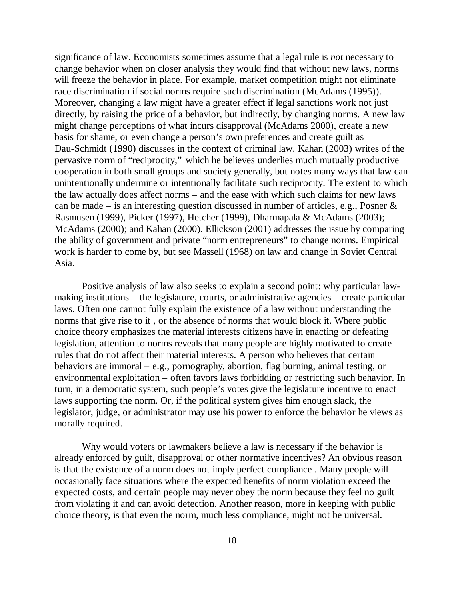significance of law. Economists sometimes assume that a legal rule is *not* necessary to change behavior when on closer analysis they would find that without new laws, norms will freeze the behavior in place. For example, market competition might not eliminate race discrimination if social norms require such discrimination (McAdams (1995)). Moreover, changing a law might have a greater effect if legal sanctions work not just directly, by raising the price of a behavior, but indirectly, by changing norms. A new law might change perceptions of what incurs disapproval (McAdams 2000), create a new basis for shame, or even change a person's own preferences and create guilt as Dau-Schmidt (1990) discusses in the context of criminal law. Kahan (2003) writes of the pervasive norm of "reciprocity," which he believes underlies much mutually productive cooperation in both small groups and society generally, but notes many ways that law can unintentionally undermine or intentionally facilitate such reciprocity. The extent to which the law actually does affect norms – and the ease with which such claims for new laws can be made – is an interesting question discussed in number of articles, e.g., Posner & Rasmusen (1999), Picker (1997), Hetcher (1999), Dharmapala & McAdams (2003); McAdams (2000); and Kahan (2000). Ellickson (2001) addresses the issue by comparing the ability of government and private "norm entrepreneurs" to change norms. Empirical work is harder to come by, but see Massell (1968) on law and change in Soviet Central Asia.

Positive analysis of law also seeks to explain a second point: why particular lawmaking institutions – the legislature, courts, or administrative agencies – create particular laws. Often one cannot fully explain the existence of a law without understanding the norms that give rise to it , or the absence of norms that would block it. Where public choice theory emphasizes the material interests citizens have in enacting or defeating legislation, attention to norms reveals that many people are highly motivated to create rules that do not affect their material interests. A person who believes that certain behaviors are immoral – e.g., pornography, abortion, flag burning, animal testing, or environmental exploitation – often favors laws forbidding or restricting such behavior. In turn, in a democratic system, such people's votes give the legislature incentive to enact laws supporting the norm. Or, if the political system gives him enough slack, the legislator, judge, or administrator may use his power to enforce the behavior he views as morally required.

Why would voters or lawmakers believe a law is necessary if the behavior is already enforced by guilt, disapproval or other normative incentives? An obvious reason is that the existence of a norm does not imply perfect compliance . Many people will occasionally face situations where the expected benefits of norm violation exceed the expected costs, and certain people may never obey the norm because they feel no guilt from violating it and can avoid detection. Another reason, more in keeping with public choice theory, is that even the norm, much less compliance, might not be universal.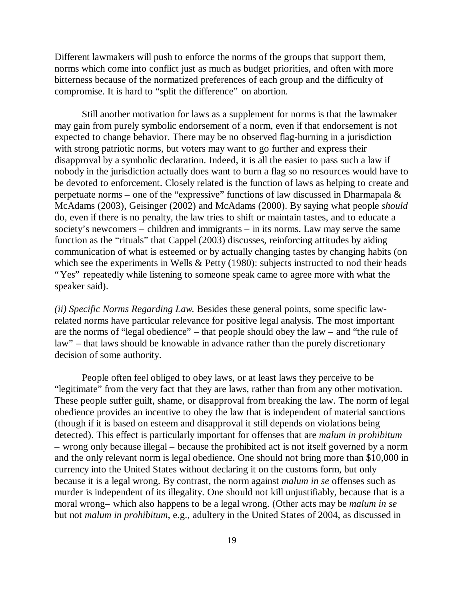Different lawmakers will push to enforce the norms of the groups that support them, norms which come into conflict just as much as budget priorities, and often with more bitterness because of the normatized preferences of each group and the difficulty of compromise. It is hard to "split the difference" on abortion.

Still another motivation for laws as a supplement for norms is that the lawmaker may gain from purely symbolic endorsement of a norm, even if that endorsement is not expected to change behavior. There may be no observed flag-burning in a jurisdiction with strong patriotic norms, but voters may want to go further and express their disapproval by a symbolic declaration. Indeed, it is all the easier to pass such a law if nobody in the jurisdiction actually does want to burn a flag so no resources would have to be devoted to enforcement. Closely related is the function of laws as helping to create and perpetuate norms – one of the "expressive" functions of law discussed in Dharmapala  $\&$ McAdams (2003), Geisinger (2002) and McAdams (2000). By saying what people *should* do, even if there is no penalty, the law tries to shift or maintain tastes, and to educate a society's newcomers – children and immigrants – in its norms. Law may serve the same function as the "rituals" that Cappel (2003) discusses, reinforcing attitudes by aiding communication of what is esteemed or by actually changing tastes by changing habits (on which see the experiments in Wells & Petty (1980): subjects instructed to nod their heads "Yes" repeatedly while listening to someone speak came to agree more with what the speaker said).

*(ii) Specific Norms Regarding Law.* Besides these general points, some specific lawrelated norms have particular relevance for positive legal analysis. The most important are the norms of "legal obedience" – that people should obey the law – and "the rule of law" – that laws should be knowable in advance rather than the purely discretionary decision of some authority.

People often feel obliged to obey laws, or at least laws they perceive to be "legitimate" from the very fact that they are laws, rather than from any other motivation. These people suffer guilt, shame, or disapproval from breaking the law. The norm of legal obedience provides an incentive to obey the law that is independent of material sanctions (though if it is based on esteem and disapproval it still depends on violations being detected). This effect is particularly important for offenses that are *malum in prohibitum* – wrong only because illegal – because the prohibited act is not itself governed by a norm and the only relevant norm is legal obedience. One should not bring more than \$10,000 in currency into the United States without declaring it on the customs form, but only because it is a legal wrong. By contrast, the norm against *malum in se* offenses such as murder is independent of its illegality. One should not kill unjustifiably, because that is a moral wrong– which also happens to be a legal wrong. (Other acts may be *malum in se* but not *malum in prohibitum*, e.g., adultery in the United States of 2004, as discussed in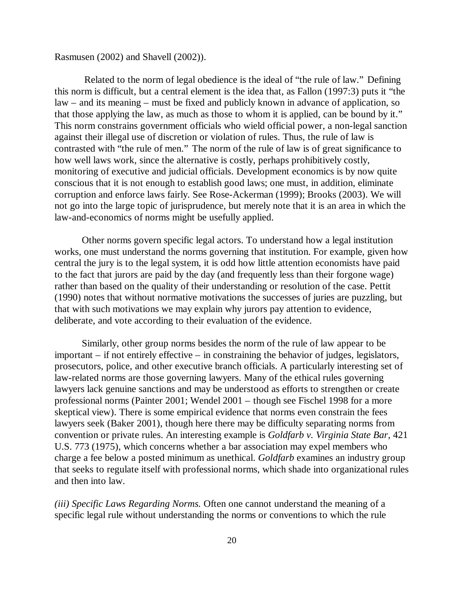#### Rasmusen (2002) and Shavell (2002)).

 Related to the norm of legal obedience is the ideal of "the rule of law." Defining this norm is difficult, but a central element is the idea that, as Fallon (1997:3) puts it "the law – and its meaning – must be fixed and publicly known in advance of application, so that those applying the law, as much as those to whom it is applied, can be bound by it." This norm constrains government officials who wield official power, a non-legal sanction against their illegal use of discretion or violation of rules. Thus, the rule of law is contrasted with "the rule of men." The norm of the rule of law is of great significance to how well laws work, since the alternative is costly, perhaps prohibitively costly, monitoring of executive and judicial officials. Development economics is by now quite conscious that it is not enough to establish good laws; one must, in addition, eliminate corruption and enforce laws fairly. See Rose-Ackerman (1999); Brooks (2003). We will not go into the large topic of jurisprudence, but merely note that it is an area in which the law-and-economics of norms might be usefully applied.

Other norms govern specific legal actors. To understand how a legal institution works, one must understand the norms governing that institution. For example, given how central the jury is to the legal system, it is odd how little attention economists have paid to the fact that jurors are paid by the day (and frequently less than their forgone wage) rather than based on the quality of their understanding or resolution of the case. Pettit (1990) notes that without normative motivations the successes of juries are puzzling, but that with such motivations we may explain why jurors pay attention to evidence, deliberate, and vote according to their evaluation of the evidence.

Similarly, other group norms besides the norm of the rule of law appear to be important – if not entirely effective – in constraining the behavior of judges, legislators, prosecutors, police, and other executive branch officials. A particularly interesting set of law-related norms are those governing lawyers. Many of the ethical rules governing lawyers lack genuine sanctions and may be understood as efforts to strengthen or create professional norms (Painter 2001; Wendel 2001 – though see Fischel 1998 for a more skeptical view). There is some empirical evidence that norms even constrain the fees lawyers seek (Baker 2001), though here there may be difficulty separating norms from convention or private rules. An interesting example is *Goldfarb v. Virginia State Bar*, 421 U.S. 773 (1975), which concerns whether a bar association may expel members who charge a fee below a posted minimum as unethical. *Goldfarb* examines an industry group that seeks to regulate itself with professional norms, which shade into organizational rules and then into law.

*(iii) Specific Laws Regarding Norms.* Often one cannot understand the meaning of a specific legal rule without understanding the norms or conventions to which the rule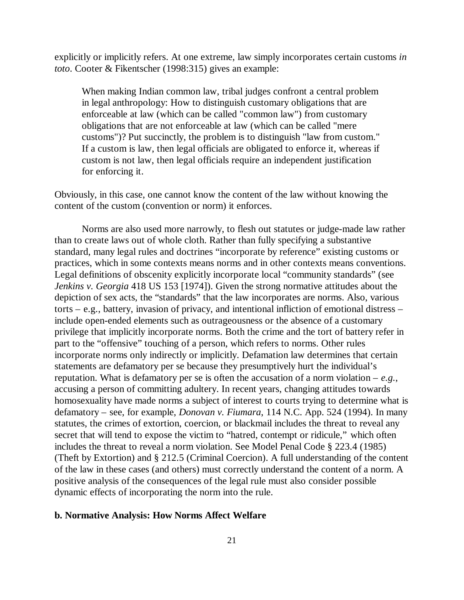explicitly or implicitly refers. At one extreme, law simply incorporates certain customs *in toto*. Cooter & Fikentscher (1998:315) gives an example:

When making Indian common law, tribal judges confront a central problem in legal anthropology: How to distinguish customary obligations that are enforceable at law (which can be called "common law") from customary obligations that are not enforceable at law (which can be called "mere customs")? Put succinctly, the problem is to distinguish "law from custom." If a custom is law, then legal officials are obligated to enforce it, whereas if custom is not law, then legal officials require an independent justification for enforcing it.

Obviously, in this case, one cannot know the content of the law without knowing the content of the custom (convention or norm) it enforces.

Norms are also used more narrowly, to flesh out statutes or judge-made law rather than to create laws out of whole cloth. Rather than fully specifying a substantive standard, many legal rules and doctrines "incorporate by reference" existing customs or practices, which in some contexts means norms and in other contexts means conventions. Legal definitions of obscenity explicitly incorporate local "community standards" (see *Jenkins v. Georgia* 418 US 153 [1974]). Given the strong normative attitudes about the depiction of sex acts, the "standards" that the law incorporates are norms. Also, various torts – e.g., battery, invasion of privacy, and intentional infliction of emotional distress – include open-ended elements such as outrageousness or the absence of a customary privilege that implicitly incorporate norms. Both the crime and the tort of battery refer in part to the "offensive" touching of a person, which refers to norms. Other rules incorporate norms only indirectly or implicitly. Defamation law determines that certain statements are defamatory per se because they presumptively hurt the individual's reputation. What is defamatory per se is often the accusation of a norm violation – *e.g.*, accusing a person of committing adultery. In recent years, changing attitudes towards homosexuality have made norms a subject of interest to courts trying to determine what is defamatory – see, for example, *Donovan v. Fiumara*, 114 N.C. App. 524 (1994). In many statutes, the crimes of extortion, coercion, or blackmail includes the threat to reveal any secret that will tend to expose the victim to "hatred, contempt or ridicule," which often includes the threat to reveal a norm violation. See Model Penal Code § 223.4 (1985) (Theft by Extortion) and § 212.5 (Criminal Coercion). A full understanding of the content of the law in these cases (and others) must correctly understand the content of a norm. A positive analysis of the consequences of the legal rule must also consider possible dynamic effects of incorporating the norm into the rule.

#### **b. Normative Analysis: How Norms Affect Welfare**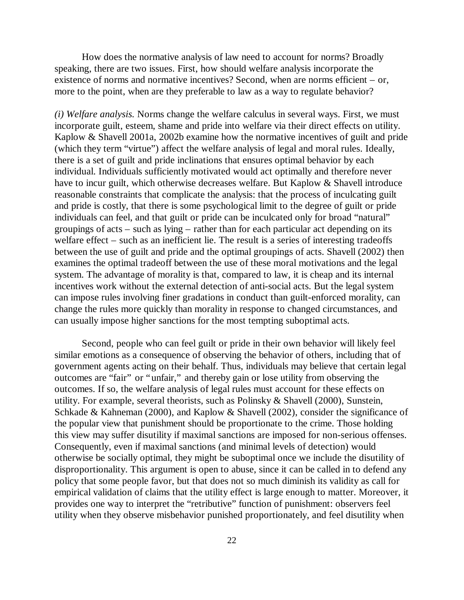How does the normative analysis of law need to account for norms? Broadly speaking, there are two issues. First, how should welfare analysis incorporate the existence of norms and normative incentives? Second, when are norms efficient – or, more to the point, when are they preferable to law as a way to regulate behavior?

*(i) Welfare analysis.* Norms change the welfare calculus in several ways. First, we must incorporate guilt, esteem, shame and pride into welfare via their direct effects on utility. Kaplow & Shavell 2001a, 2002b examine how the normative incentives of guilt and pride (which they term "virtue") affect the welfare analysis of legal and moral rules. Ideally, there is a set of guilt and pride inclinations that ensures optimal behavior by each individual. Individuals sufficiently motivated would act optimally and therefore never have to incur guilt, which otherwise decreases welfare. But Kaplow & Shavell introduce reasonable constraints that complicate the analysis: that the process of inculcating guilt and pride is costly, that there is some psychological limit to the degree of guilt or pride individuals can feel, and that guilt or pride can be inculcated only for broad "natural" groupings of acts – such as lying – rather than for each particular act depending on its welfare effect – such as an inefficient lie. The result is a series of interesting tradeoffs between the use of guilt and pride and the optimal groupings of acts. Shavell (2002) then examines the optimal tradeoff between the use of these moral motivations and the legal system. The advantage of morality is that, compared to law, it is cheap and its internal incentives work without the external detection of anti-social acts. But the legal system can impose rules involving finer gradations in conduct than guilt-enforced morality, can change the rules more quickly than morality in response to changed circumstances, and can usually impose higher sanctions for the most tempting suboptimal acts.

Second, people who can feel guilt or pride in their own behavior will likely feel similar emotions as a consequence of observing the behavior of others, including that of government agents acting on their behalf. Thus, individuals may believe that certain legal outcomes are "fair" or "unfair," and thereby gain or lose utility from observing the outcomes. If so, the welfare analysis of legal rules must account for these effects on utility. For example, several theorists, such as Polinsky & Shavell (2000), Sunstein, Schkade & Kahneman (2000), and Kaplow & Shavell (2002), consider the significance of the popular view that punishment should be proportionate to the crime. Those holding this view may suffer disutility if maximal sanctions are imposed for non-serious offenses. Consequently, even if maximal sanctions (and minimal levels of detection) would otherwise be socially optimal, they might be suboptimal once we include the disutility of disproportionality. This argument is open to abuse, since it can be called in to defend any policy that some people favor, but that does not so much diminish its validity as call for empirical validation of claims that the utility effect is large enough to matter. Moreover, it provides one way to interpret the "retributive" function of punishment: observers feel utility when they observe misbehavior punished proportionately, and feel disutility when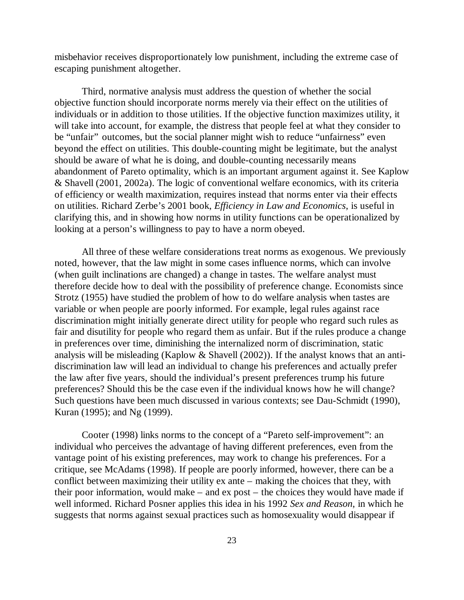misbehavior receives disproportionately low punishment, including the extreme case of escaping punishment altogether.

Third, normative analysis must address the question of whether the social objective function should incorporate norms merely via their effect on the utilities of individuals or in addition to those utilities. If the objective function maximizes utility, it will take into account, for example, the distress that people feel at what they consider to be "unfair" outcomes, but the social planner might wish to reduce "unfairness" even beyond the effect on utilities. This double-counting might be legitimate, but the analyst should be aware of what he is doing, and double-counting necessarily means abandonment of Pareto optimality, which is an important argument against it. See Kaplow & Shavell (2001, 2002a). The logic of conventional welfare economics, with its criteria of efficiency or wealth maximization, requires instead that norms enter via their effects on utilities. Richard Zerbe's 2001 book, *Efficiency in Law and Economics*, is useful in clarifying this, and in showing how norms in utility functions can be operationalized by looking at a person's willingness to pay to have a norm obeyed.

All three of these welfare considerations treat norms as exogenous. We previously noted, however, that the law might in some cases influence norms, which can involve (when guilt inclinations are changed) a change in tastes. The welfare analyst must therefore decide how to deal with the possibility of preference change. Economists since Strotz (1955) have studied the problem of how to do welfare analysis when tastes are variable or when people are poorly informed. For example, legal rules against race discrimination might initially generate direct utility for people who regard such rules as fair and disutility for people who regard them as unfair. But if the rules produce a change in preferences over time, diminishing the internalized norm of discrimination, static analysis will be misleading (Kaplow & Shavell (2002)). If the analyst knows that an antidiscrimination law will lead an individual to change his preferences and actually prefer the law after five years, should the individual's present preferences trump his future preferences? Should this be the case even if the individual knows how he will change? Such questions have been much discussed in various contexts; see Dau-Schmidt (1990), Kuran (1995); and Ng (1999).

Cooter (1998) links norms to the concept of a "Pareto self-improvement": an individual who perceives the advantage of having different preferences, even from the vantage point of his existing preferences, may work to change his preferences. For a critique, see McAdams (1998). If people are poorly informed, however, there can be a conflict between maximizing their utility ex ante – making the choices that they, with their poor information, would make – and ex post – the choices they would have made if well informed. Richard Posner applies this idea in his 1992 *Sex and Reason*, in which he suggests that norms against sexual practices such as homosexuality would disappear if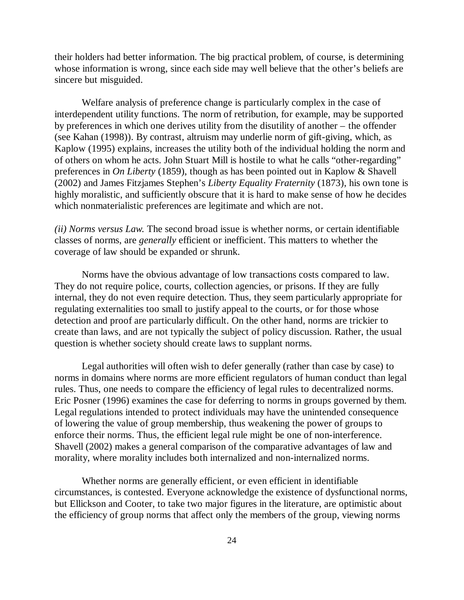their holders had better information. The big practical problem, of course, is determining whose information is wrong, since each side may well believe that the other's beliefs are sincere but misguided.

Welfare analysis of preference change is particularly complex in the case of interdependent utility functions. The norm of retribution, for example, may be supported by preferences in which one derives utility from the disutility of another – the offender (see Kahan (1998)). By contrast, altruism may underlie norm of gift-giving, which, as Kaplow (1995) explains, increases the utility both of the individual holding the norm and of others on whom he acts. John Stuart Mill is hostile to what he calls "other-regarding" preferences in *On Liberty* (1859), though as has been pointed out in Kaplow & Shavell (2002) and James Fitzjames Stephen's *Liberty Equality Fraternity* (1873), his own tone is highly moralistic, and sufficiently obscure that it is hard to make sense of how he decides which nonmaterialistic preferences are legitimate and which are not.

*(ii) Norms versus Law.* The second broad issue is whether norms, or certain identifiable classes of norms, are *generally* efficient or inefficient. This matters to whether the coverage of law should be expanded or shrunk.

Norms have the obvious advantage of low transactions costs compared to law. They do not require police, courts, collection agencies, or prisons. If they are fully internal, they do not even require detection. Thus, they seem particularly appropriate for regulating externalities too small to justify appeal to the courts, or for those whose detection and proof are particularly difficult. On the other hand, norms are trickier to create than laws, and are not typically the subject of policy discussion. Rather, the usual question is whether society should create laws to supplant norms.

Legal authorities will often wish to defer generally (rather than case by case) to norms in domains where norms are more efficient regulators of human conduct than legal rules. Thus, one needs to compare the efficiency of legal rules to decentralized norms. Eric Posner (1996) examines the case for deferring to norms in groups governed by them. Legal regulations intended to protect individuals may have the unintended consequence of lowering the value of group membership, thus weakening the power of groups to enforce their norms. Thus, the efficient legal rule might be one of non-interference. Shavell (2002) makes a general comparison of the comparative advantages of law and morality, where morality includes both internalized and non-internalized norms.

Whether norms are generally efficient, or even efficient in identifiable circumstances, is contested. Everyone acknowledge the existence of dysfunctional norms, but Ellickson and Cooter, to take two major figures in the literature, are optimistic about the efficiency of group norms that affect only the members of the group, viewing norms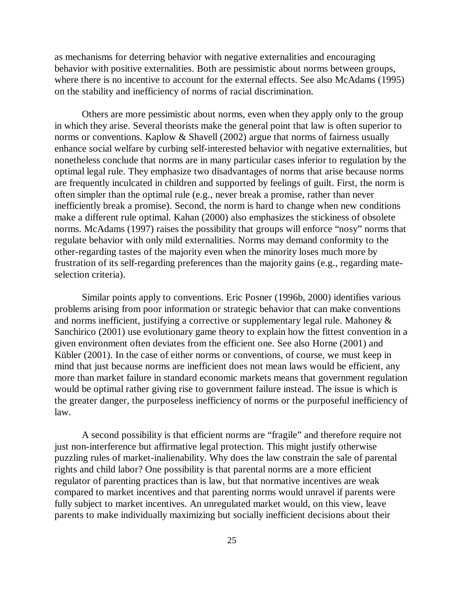as mechanisms for deterring behavior with negative externalities and encouraging behavior with positive externalities. Both are pessimistic about norms between groups, where there is no incentive to account for the external effects. See also McAdams (1995) on the stability and inefficiency of norms of racial discrimination.

Others are more pessimistic about norms, even when they apply only to the group in which they arise. Several theorists make the general point that law is often superior to norms or conventions. Kaplow & Shavell (2002) argue that norms of fairness usually enhance social welfare by curbing self-interested behavior with negative externalities, but nonetheless conclude that norms are in many particular cases inferior to regulation by the optimal legal rule. They emphasize two disadvantages of norms that arise because norms are frequently inculcated in children and supported by feelings of guilt. First, the norm is often simpler than the optimal rule (e.g., never break a promise, rather than never inefficiently break a promise). Second, the norm is hard to change when new conditions make a different rule optimal. Kahan (2000) also emphasizes the stickiness of obsolete norms. McAdams (1997) raises the possibility that groups will enforce "nosy" norms that regulate behavior with only mild externalities. Norms may demand conformity to the other-regarding tastes of the majority even when the minority loses much more by frustration of its self-regarding preferences than the majority gains (e.g., regarding mateselection criteria).

Similar points apply to conventions. Eric Posner (1996b, 2000) identifies various problems arising from poor information or strategic behavior that can make conventions and norms inefficient, justifying a corrective or supplementary legal rule. Mahoney & Sanchirico (2001) use evolutionary game theory to explain how the fittest convention in a given environment often deviates from the efficient one. See also Horne (2001) and Kübler (2001). In the case of either norms or conventions, of course, we must keep in mind that just because norms are inefficient does not mean laws would be efficient, any more than market failure in standard economic markets means that government regulation would be optimal rather giving rise to government failure instead. The issue is which is the greater danger, the purposeless inefficiency of norms or the purposeful inefficiency of law.

A second possibility is that efficient norms are "fragile" and therefore require not just non-interference but affirmative legal protection. This might justify otherwise puzzling rules of market-inalienability. Why does the law constrain the sale of parental rights and child labor? One possibility is that parental norms are a more efficient regulator of parenting practices than is law, but that normative incentives are weak compared to market incentives and that parenting norms would unravel if parents were fully subject to market incentives. An unregulated market would, on this view, leave parents to make individually maximizing but socially inefficient decisions about their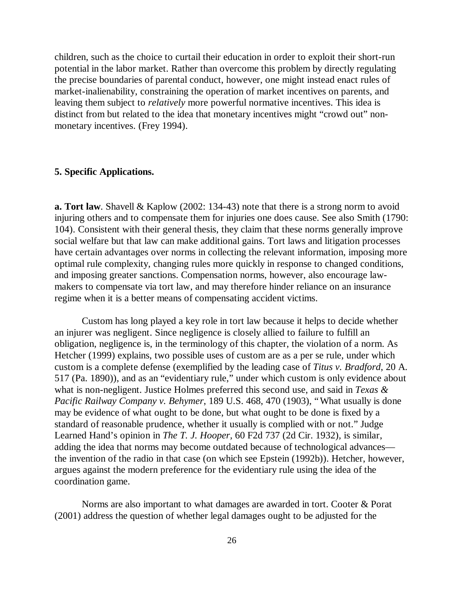children, such as the choice to curtail their education in order to exploit their short-run potential in the labor market. Rather than overcome this problem by directly regulating the precise boundaries of parental conduct, however, one might instead enact rules of market-inalienability, constraining the operation of market incentives on parents, and leaving them subject to *relatively* more powerful normative incentives. This idea is distinct from but related to the idea that monetary incentives might "crowd out" nonmonetary incentives. (Frey 1994).

## **5. Specific Applications.**

**a. Tort law**. Shavell & Kaplow (2002: 134-43) note that there is a strong norm to avoid injuring others and to compensate them for injuries one does cause. See also Smith (1790: 104). Consistent with their general thesis, they claim that these norms generally improve social welfare but that law can make additional gains. Tort laws and litigation processes have certain advantages over norms in collecting the relevant information, imposing more optimal rule complexity, changing rules more quickly in response to changed conditions, and imposing greater sanctions. Compensation norms, however, also encourage lawmakers to compensate via tort law, and may therefore hinder reliance on an insurance regime when it is a better means of compensating accident victims.

Custom has long played a key role in tort law because it helps to decide whether an injurer was negligent. Since negligence is closely allied to failure to fulfill an obligation, negligence is, in the terminology of this chapter, the violation of a norm. As Hetcher (1999) explains, two possible uses of custom are as a per se rule, under which custom is a complete defense (exemplified by the leading case of *Titus v. Bradford*, 20 A. 517 (Pa. 1890)), and as an "evidentiary rule," under which custom is only evidence about what is non-negligent. Justice Holmes preferred this second use, and said in *Texas & Pacific Railway Company v. Behymer*, 189 U.S. 468, 470 (1903), "What usually is done may be evidence of what ought to be done, but what ought to be done is fixed by a standard of reasonable prudence, whether it usually is complied with or not." Judge Learned Hand's opinion in *The T. J. Hooper,* 60 F2d 737 (2d Cir. 1932)*,* is similar, adding the idea that norms may become outdated because of technological advances the invention of the radio in that case (on which see Epstein (1992b)). Hetcher, however, argues against the modern preference for the evidentiary rule using the idea of the coordination game.

Norms are also important to what damages are awarded in tort. Cooter & Porat (2001) address the question of whether legal damages ought to be adjusted for the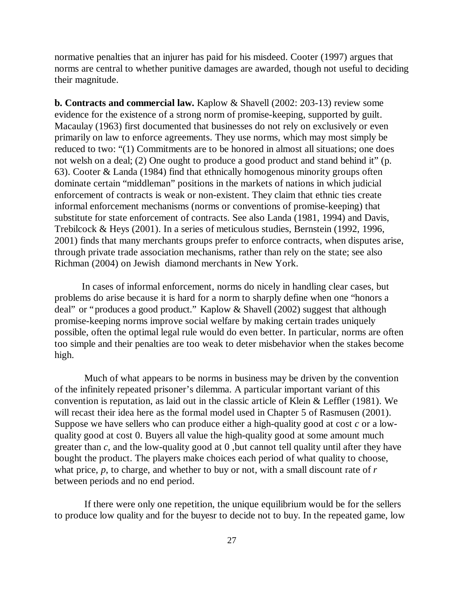normative penalties that an injurer has paid for his misdeed. Cooter (1997) argues that norms are central to whether punitive damages are awarded, though not useful to deciding their magnitude.

**b. Contracts and commercial law.** Kaplow & Shavell (2002: 203-13) review some evidence for the existence of a strong norm of promise-keeping, supported by guilt. Macaulay (1963) first documented that businesses do not rely on exclusively or even primarily on law to enforce agreements. They use norms, which may most simply be reduced to two: "(1) Commitments are to be honored in almost all situations; one does not welsh on a deal; (2) One ought to produce a good product and stand behind it" (p. 63). Cooter & Landa (1984) find that ethnically homogenous minority groups often dominate certain "middleman" positions in the markets of nations in which judicial enforcement of contracts is weak or non-existent. They claim that ethnic ties create informal enforcement mechanisms (norms or conventions of promise-keeping) that substitute for state enforcement of contracts. See also Landa (1981, 1994) and Davis, Trebilcock & Heys (2001). In a series of meticulous studies, Bernstein (1992, 1996, 2001) finds that many merchants groups prefer to enforce contracts, when disputes arise, through private trade association mechanisms, rather than rely on the state; see also Richman (2004) on Jewish diamond merchants in New York.

In cases of informal enforcement, norms do nicely in handling clear cases, but problems do arise because it is hard for a norm to sharply define when one "honors a deal" or "produces a good product." Kaplow & Shavell (2002) suggest that although promise-keeping norms improve social welfare by making certain trades uniquely possible, often the optimal legal rule would do even better. In particular, norms are often too simple and their penalties are too weak to deter misbehavior when the stakes become high.

 Much of what appears to be norms in business may be driven by the convention of the infinitely repeated prisoner's dilemma. A particular important variant of this convention is reputation, as laid out in the classic article of Klein & Leffler (1981). We will recast their idea here as the formal model used in Chapter 5 of Rasmusen (2001). Suppose we have sellers who can produce either a high-quality good at cost *c* or a lowquality good at cost 0. Buyers all value the high-quality good at some amount much greater than *c,* and the low-quality good at 0 ,but cannot tell quality until after they have bought the product. The players make choices each period of what quality to choose, what price, *p*, to charge, and whether to buy or not, with a small discount rate of *r* between periods and no end period.

 If there were only one repetition, the unique equilibrium would be for the sellers to produce low quality and for the buyesr to decide not to buy. In the repeated game, low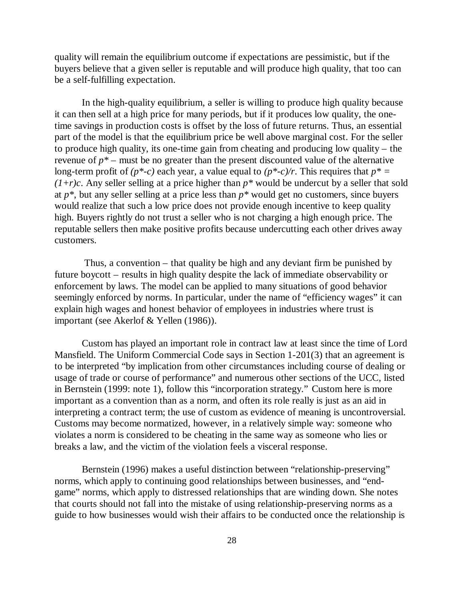quality will remain the equilibrium outcome if expectations are pessimistic, but if the buyers believe that a given seller is reputable and will produce high quality, that too can be a self-fulfilling expectation.

In the high-quality equilibrium, a seller is willing to produce high quality because it can then sell at a high price for many periods, but if it produces low quality, the onetime savings in production costs is offset by the loss of future returns. Thus, an essential part of the model is that the equilibrium price be well above marginal cost. For the seller to produce high quality, its one-time gain from cheating and producing low quality – the revenue of  $p^*$  – must be no greater than the present discounted value of the alternative long-term profit of  $(p^*-c)$  each year, a value equal to  $(p^*-c)/r$ . This requires that  $p^* =$  $(1+r)c$ . Any seller selling at a price higher than  $p^*$  would be undercut by a seller that sold at *p\**, but any seller selling at a price less than *p\** would get no customers, since buyers would realize that such a low price does not provide enough incentive to keep quality high. Buyers rightly do not trust a seller who is not charging a high enough price. The reputable sellers then make positive profits because undercutting each other drives away customers.

 Thus, a convention – that quality be high and any deviant firm be punished by future boycott – results in high quality despite the lack of immediate observability or enforcement by laws. The model can be applied to many situations of good behavior seemingly enforced by norms. In particular, under the name of "efficiency wages" it can explain high wages and honest behavior of employees in industries where trust is important (see Akerlof & Yellen (1986)).

Custom has played an important role in contract law at least since the time of Lord Mansfield. The Uniform Commercial Code says in Section 1-201(3) that an agreement is to be interpreted "by implication from other circumstances including course of dealing or usage of trade or course of performance" and numerous other sections of the UCC, listed in Bernstein (1999: note 1), follow this "incorporation strategy." Custom here is more important as a convention than as a norm, and often its role really is just as an aid in interpreting a contract term; the use of custom as evidence of meaning is uncontroversial. Customs may become normatized, however, in a relatively simple way: someone who violates a norm is considered to be cheating in the same way as someone who lies or breaks a law, and the victim of the violation feels a visceral response.

Bernstein (1996) makes a useful distinction between "relationship-preserving" norms, which apply to continuing good relationships between businesses, and "endgame" norms, which apply to distressed relationships that are winding down. She notes that courts should not fall into the mistake of using relationship-preserving norms as a guide to how businesses would wish their affairs to be conducted once the relationship is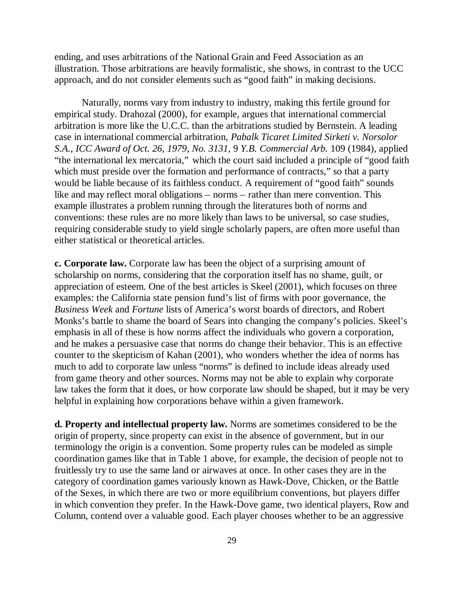ending, and uses arbitrations of the National Grain and Feed Association as an illustration. Those arbitrations are heavily formalistic, she shows, in contrast to the UCC approach, and do not consider elements such as "good faith" in making decisions.

Naturally, norms vary from industry to industry, making this fertile ground for empirical study. Drahozal (2000), for example, argues that international commercial arbitration is more like the U.C.C. than the arbitrations studied by Bernstein. A leading case in international commercial arbitration, *Pabalk Ticaret Limited Sirketi v. Norsolor S.A., ICC Award of Oct. 26, 1979, No. 3131,* 9 *Y.B. Commercial Arb.* 109 (1984)*,* applied "the international lex mercatoria," which the court said included a principle of "good faith which must preside over the formation and performance of contracts," so that a party would be liable because of its faithless conduct. A requirement of "good faith" sounds like and may reflect moral obligations – norms – rather than mere convention. This example illustrates a problem running through the literatures both of norms and conventions: these rules are no more likely than laws to be universal, so case studies, requiring considerable study to yield single scholarly papers, are often more useful than either statistical or theoretical articles.

**c. Corporate law.** Corporate law has been the object of a surprising amount of scholarship on norms, considering that the corporation itself has no shame, guilt, or appreciation of esteem. One of the best articles is Skeel (2001), which focuses on three examples: the California state pension fund's list of firms with poor governance, the *Business Week* and *Fortune* lists of America's worst boards of directors, and Robert Monks's battle to shame the board of Sears into changing the company's policies. Skeel's emphasis in all of these is how norms affect the individuals who govern a corporation, and he makes a persuasive case that norms do change their behavior. This is an effective counter to the skepticism of Kahan (2001), who wonders whether the idea of norms has much to add to corporate law unless "norms" is defined to include ideas already used from game theory and other sources. Norms may not be able to explain why corporate law takes the form that it does, or how corporate law should be shaped, but it may be very helpful in explaining how corporations behave within a given framework.

**d. Property and intellectual property law.** Norms are sometimes considered to be the origin of property, since property can exist in the absence of government, but in our terminology the origin is a convention. Some property rules can be modeled as simple coordination games like that in Table 1 above, for example, the decision of people not to fruitlessly try to use the same land or airwaves at once. In other cases they are in the category of coordination games variously known as Hawk-Dove, Chicken, or the Battle of the Sexes, in which there are two or more equilibrium conventions, but players differ in which convention they prefer. In the Hawk-Dove game, two identical players, Row and Column, contend over a valuable good. Each player chooses whether to be an aggressive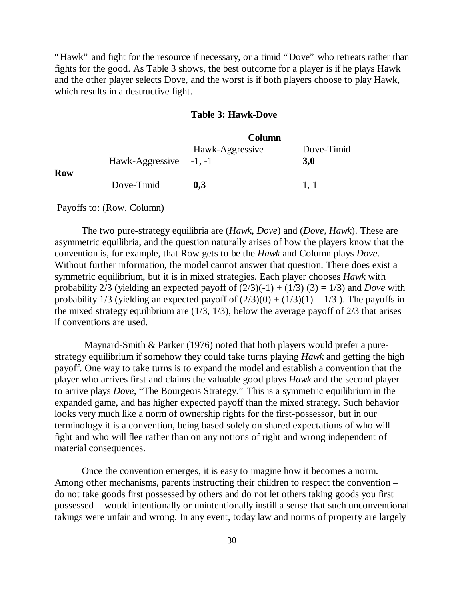"Hawk" and fight for the resource if necessary, or a timid "Dove" who retreats rather than fights for the good. As Table 3 shows, the best outcome for a player is if he plays Hawk and the other player selects Dove, and the worst is if both players choose to play Hawk, which results in a destructive fight.

## **Table 3: Hawk-Dove**

|                             | Column          |                   |  |
|-----------------------------|-----------------|-------------------|--|
| Hawk-Aggressive $-1$ , $-1$ | Hawk-Aggressive | Dove-Timid<br>3,0 |  |
| Dove-Timid                  | 0.3             | 1.1               |  |

Payoffs to: (Row, Column)

**Row**

The two pure-strategy equilibria are (*Hawk, Dove*) and (*Dove, Hawk*). These are asymmetric equilibria, and the question naturally arises of how the players know that the convention is, for example, that Row gets to be the *Hawk* and Column plays *Dove*. Without further information, the model cannot answer that question. There does exist a symmetric equilibrium, but it is in mixed strategies. Each player chooses *Hawk* with probability 2/3 (yielding an expected payoff of  $(2/3)(-1) + (1/3)(3) = 1/3$ ) and *Dove* with probability 1/3 (yielding an expected payoff of  $(2/3)(0) + (1/3)(1) = 1/3$ ). The payoffs in the mixed strategy equilibrium are  $(1/3, 1/3)$ , below the average payoff of  $2/3$  that arises if conventions are used.

 Maynard-Smith & Parker (1976) noted that both players would prefer a purestrategy equilibrium if somehow they could take turns playing *Hawk* and getting the high payoff. One way to take turns is to expand the model and establish a convention that the player who arrives first and claims the valuable good plays *Hawk* and the second player to arrive plays *Dove*, "The Bourgeois Strategy." This is a symmetric equilibrium in the expanded game, and has higher expected payoff than the mixed strategy. Such behavior looks very much like a norm of ownership rights for the first-possessor, but in our terminology it is a convention, being based solely on shared expectations of who will fight and who will flee rather than on any notions of right and wrong independent of material consequences.

Once the convention emerges, it is easy to imagine how it becomes a norm. Among other mechanisms, parents instructing their children to respect the convention – do not take goods first possessed by others and do not let others taking goods you first possessed – would intentionally or unintentionally instill a sense that such unconventional takings were unfair and wrong. In any event, today law and norms of property are largely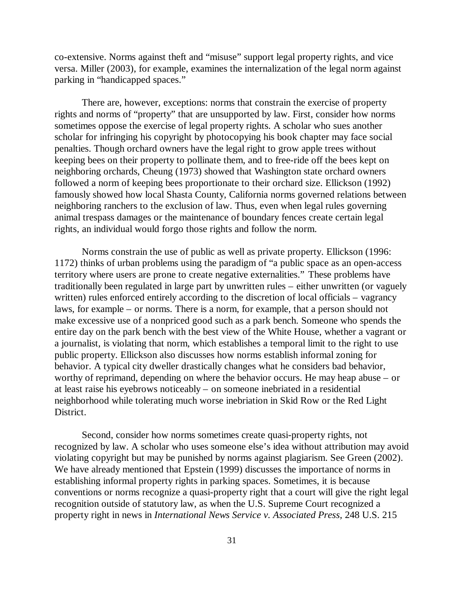co-extensive. Norms against theft and "misuse" support legal property rights, and vice versa. Miller (2003), for example, examines the internalization of the legal norm against parking in "handicapped spaces."

There are, however, exceptions: norms that constrain the exercise of property rights and norms of "property" that are unsupported by law. First, consider how norms sometimes oppose the exercise of legal property rights. A scholar who sues another scholar for infringing his copyright by photocopying his book chapter may face social penalties. Though orchard owners have the legal right to grow apple trees without keeping bees on their property to pollinate them, and to free-ride off the bees kept on neighboring orchards, Cheung (1973) showed that Washington state orchard owners followed a norm of keeping bees proportionate to their orchard size. Ellickson (1992) famously showed how local Shasta County, California norms governed relations between neighboring ranchers to the exclusion of law. Thus, even when legal rules governing animal trespass damages or the maintenance of boundary fences create certain legal rights, an individual would forgo those rights and follow the norm.

Norms constrain the use of public as well as private property. Ellickson (1996: 1172) thinks of urban problems using the paradigm of "a public space as an open-access territory where users are prone to create negative externalities." These problems have traditionally been regulated in large part by unwritten rules – either unwritten (or vaguely written) rules enforced entirely according to the discretion of local officials – vagrancy laws, for example – or norms. There is a norm, for example, that a person should not make excessive use of a nonpriced good such as a park bench. Someone who spends the entire day on the park bench with the best view of the White House, whether a vagrant or a journalist, is violating that norm, which establishes a temporal limit to the right to use public property. Ellickson also discusses how norms establish informal zoning for behavior. A typical city dweller drastically changes what he considers bad behavior, worthy of reprimand, depending on where the behavior occurs. He may heap abuse – or at least raise his eyebrows noticeably – on someone inebriated in a residential neighborhood while tolerating much worse inebriation in Skid Row or the Red Light District.

Second, consider how norms sometimes create quasi-property rights, not recognized by law. A scholar who uses someone else's idea without attribution may avoid violating copyright but may be punished by norms against plagiarism. See Green (2002). We have already mentioned that Epstein (1999) discusses the importance of norms in establishing informal property rights in parking spaces. Sometimes, it is because conventions or norms recognize a quasi-property right that a court will give the right legal recognition outside of statutory law, as when the U.S. Supreme Court recognized a property right in news in *International News Service v. Associated Press,* 248 U.S. 215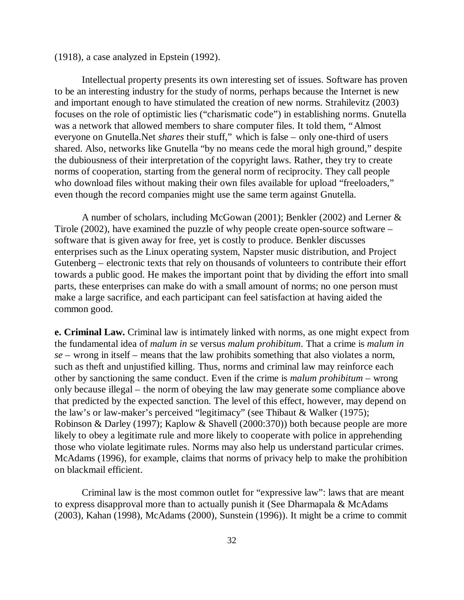(1918), a case analyzed in Epstein (1992).

Intellectual property presents its own interesting set of issues. Software has proven to be an interesting industry for the study of norms, perhaps because the Internet is new and important enough to have stimulated the creation of new norms. Strahilevitz (2003) focuses on the role of optimistic lies ("charismatic code") in establishing norms. Gnutella was a network that allowed members to share computer files. It told them, "Almost everyone on Gnutella.Net *shares* their stuff," which is false – only one-third of users shared. Also, networks like Gnutella "by no means cede the moral high ground," despite the dubiousness of their interpretation of the copyright laws. Rather, they try to create norms of cooperation, starting from the general norm of reciprocity. They call people who download files without making their own files available for upload "freeloaders," even though the record companies might use the same term against Gnutella.

A number of scholars, including McGowan (2001); Benkler (2002) and Lerner & Tirole (2002), have examined the puzzle of why people create open-source software – software that is given away for free, yet is costly to produce. Benkler discusses enterprises such as the Linux operating system, Napster music distribution, and Project Gutenberg – electronic texts that rely on thousands of volunteers to contribute their effort towards a public good. He makes the important point that by dividing the effort into small parts, these enterprises can make do with a small amount of norms; no one person must make a large sacrifice, and each participant can feel satisfaction at having aided the common good.

**e. Criminal Law.** Criminal law is intimately linked with norms, as one might expect from the fundamental idea of *malum in se* versus *malum prohibitum*. That a crime is *malum in se* – wrong in itself – means that the law prohibits something that also violates a norm, such as theft and unjustified killing. Thus, norms and criminal law may reinforce each other by sanctioning the same conduct. Even if the crime is *malum prohibitum* – wrong only because illegal – the norm of obeying the law may generate some compliance above that predicted by the expected sanction. The level of this effect, however, may depend on the law's or law-maker's perceived "legitimacy" (see Thibaut & Walker (1975); Robinson & Darley (1997); Kaplow & Shavell (2000:370)) both because people are more likely to obey a legitimate rule and more likely to cooperate with police in apprehending those who violate legitimate rules. Norms may also help us understand particular crimes. McAdams (1996), for example, claims that norms of privacy help to make the prohibition on blackmail efficient.

Criminal law is the most common outlet for "expressive law": laws that are meant to express disapproval more than to actually punish it (See Dharmapala & McAdams (2003), Kahan (1998), McAdams (2000), Sunstein (1996)). It might be a crime to commit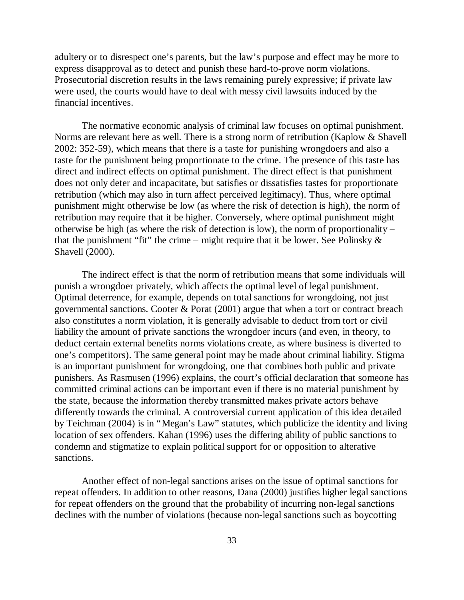adultery or to disrespect one's parents, but the law's purpose and effect may be more to express disapproval as to detect and punish these hard-to-prove norm violations. Prosecutorial discretion results in the laws remaining purely expressive; if private law were used, the courts would have to deal with messy civil lawsuits induced by the financial incentives.

The normative economic analysis of criminal law focuses on optimal punishment. Norms are relevant here as well. There is a strong norm of retribution (Kaplow & Shavell 2002: 352-59), which means that there is a taste for punishing wrongdoers and also a taste for the punishment being proportionate to the crime. The presence of this taste has direct and indirect effects on optimal punishment. The direct effect is that punishment does not only deter and incapacitate, but satisfies or dissatisfies tastes for proportionate retribution (which may also in turn affect perceived legitimacy). Thus, where optimal punishment might otherwise be low (as where the risk of detection is high), the norm of retribution may require that it be higher. Conversely, where optimal punishment might otherwise be high (as where the risk of detection is low), the norm of proportionality – that the punishment "fit" the crime – might require that it be lower. See Polinsky  $\&$ Shavell (2000).

The indirect effect is that the norm of retribution means that some individuals will punish a wrongdoer privately, which affects the optimal level of legal punishment. Optimal deterrence, for example, depends on total sanctions for wrongdoing, not just governmental sanctions. Cooter & Porat (2001) argue that when a tort or contract breach also constitutes a norm violation, it is generally advisable to deduct from tort or civil liability the amount of private sanctions the wrongdoer incurs (and even, in theory, to deduct certain external benefits norms violations create, as where business is diverted to one's competitors). The same general point may be made about criminal liability. Stigma is an important punishment for wrongdoing, one that combines both public and private punishers. As Rasmusen (1996) explains, the court's official declaration that someone has committed criminal actions can be important even if there is no material punishment by the state, because the information thereby transmitted makes private actors behave differently towards the criminal. A controversial current application of this idea detailed by Teichman (2004) is in "Megan's Law" statutes, which publicize the identity and living location of sex offenders. Kahan (1996) uses the differing ability of public sanctions to condemn and stigmatize to explain political support for or opposition to alterative sanctions.

Another effect of non-legal sanctions arises on the issue of optimal sanctions for repeat offenders. In addition to other reasons, Dana (2000) justifies higher legal sanctions for repeat offenders on the ground that the probability of incurring non-legal sanctions declines with the number of violations (because non-legal sanctions such as boycotting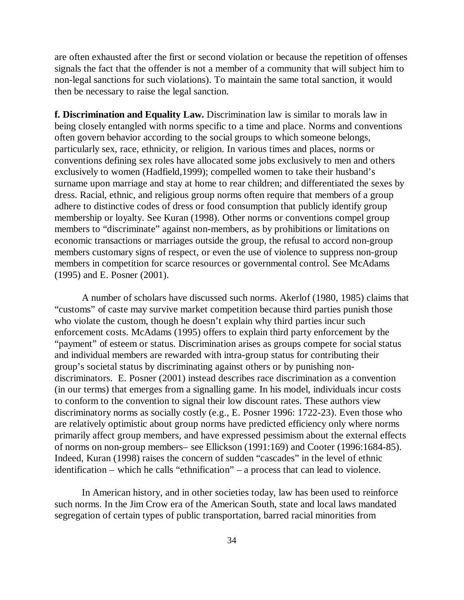are often exhausted after the first or second violation or because the repetition of offenses signals the fact that the offender is not a member of a community that will subject him to non-legal sanctions for such violations). To maintain the same total sanction, it would then be necessary to raise the legal sanction.

**f. Discrimination and Equality Law.** Discrimination law is similar to morals law in being closely entangled with norms specific to a time and place. Norms and conventions often govern behavior according to the social groups to which someone belongs, particularly sex, race, ethnicity, or religion. In various times and places, norms or conventions defining sex roles have allocated some jobs exclusively to men and others exclusively to women (Hadfield,1999); compelled women to take their husband's surname upon marriage and stay at home to rear children; and differentiated the sexes by dress. Racial, ethnic, and religious group norms often require that members of a group adhere to distinctive codes of dress or food consumption that publicly identify group membership or loyalty. See Kuran (1998). Other norms or conventions compel group members to "discriminate" against non-members, as by prohibitions or limitations on economic transactions or marriages outside the group, the refusal to accord non-group members customary signs of respect, or even the use of violence to suppress non-group members in competition for scarce resources or governmental control. See McAdams (1995) and E. Posner (2001).

A number of scholars have discussed such norms. Akerlof (1980, 1985) claims that "customs" of caste may survive market competition because third parties punish those who violate the custom, though he doesn't explain why third parties incur such enforcement costs. McAdams (1995) offers to explain third party enforcement by the "payment" of esteem or status. Discrimination arises as groups compete for social status and individual members are rewarded with intra-group status for contributing their group's societal status by discriminating against others or by punishing nondiscriminators. E. Posner (2001) instead describes race discrimination as a convention (in our terms) that emerges from a signalling game. In his model, individuals incur costs to conform to the convention to signal their low discount rates. These authors view discriminatory norms as socially costly (e.g., E. Posner 1996: 1722-23). Even those who are relatively optimistic about group norms have predicted efficiency only where norms primarily affect group members, and have expressed pessimism about the external effects of norms on non-group members– see Ellickson (1991:169) and Cooter (1996:1684-85). Indeed, Kuran (1998) raises the concern of sudden "cascades" in the level of ethnic identification – which he calls "ethnification" – a process that can lead to violence.

In American history, and in other societies today, law has been used to reinforce such norms. In the Jim Crow era of the American South, state and local laws mandated segregation of certain types of public transportation, barred racial minorities from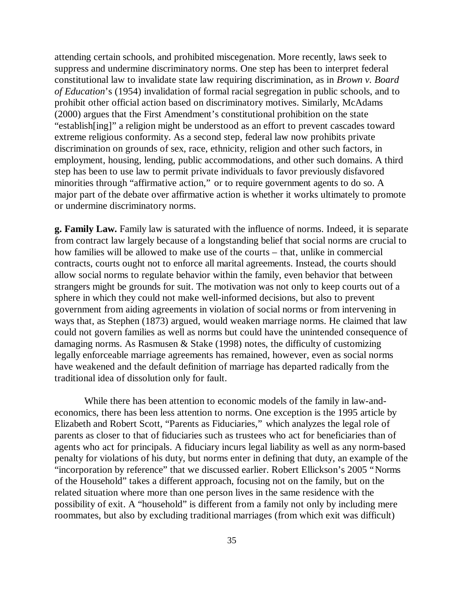attending certain schools, and prohibited miscegenation. More recently, laws seek to suppress and undermine discriminatory norms. One step has been to interpret federal constitutional law to invalidate state law requiring discrimination, as in *Brown v. Board of Education*'s (1954) invalidation of formal racial segregation in public schools, and to prohibit other official action based on discriminatory motives. Similarly, McAdams (2000) argues that the First Amendment's constitutional prohibition on the state "establish[ing]" a religion might be understood as an effort to prevent cascades toward extreme religious conformity. As a second step, federal law now prohibits private discrimination on grounds of sex, race, ethnicity, religion and other such factors, in employment, housing, lending, public accommodations, and other such domains. A third step has been to use law to permit private individuals to favor previously disfavored minorities through "affirmative action," or to require government agents to do so. A major part of the debate over affirmative action is whether it works ultimately to promote or undermine discriminatory norms.

**g. Family Law.** Family law is saturated with the influence of norms. Indeed, it is separate from contract law largely because of a longstanding belief that social norms are crucial to how families will be allowed to make use of the courts – that, unlike in commercial contracts, courts ought not to enforce all marital agreements. Instead, the courts should allow social norms to regulate behavior within the family, even behavior that between strangers might be grounds for suit. The motivation was not only to keep courts out of a sphere in which they could not make well-informed decisions, but also to prevent government from aiding agreements in violation of social norms or from intervening in ways that, as Stephen (1873) argued, would weaken marriage norms. He claimed that law could not govern families as well as norms but could have the unintended consequence of damaging norms. As Rasmusen & Stake (1998) notes, the difficulty of customizing legally enforceable marriage agreements has remained, however, even as social norms have weakened and the default definition of marriage has departed radically from the traditional idea of dissolution only for fault.

 While there has been attention to economic models of the family in law-andeconomics, there has been less attention to norms. One exception is the 1995 article by Elizabeth and Robert Scott, "Parents as Fiduciaries," which analyzes the legal role of parents as closer to that of fiduciaries such as trustees who act for beneficiaries than of agents who act for principals. A fiduciary incurs legal liability as well as any norm-based penalty for violations of his duty, but norms enter in defining that duty, an example of the "incorporation by reference" that we discussed earlier. Robert Ellickson's 2005 "Norms of the Household" takes a different approach, focusing not on the family, but on the related situation where more than one person lives in the same residence with the possibility of exit. A "household" is different from a family not only by including mere roommates, but also by excluding traditional marriages (from which exit was difficult)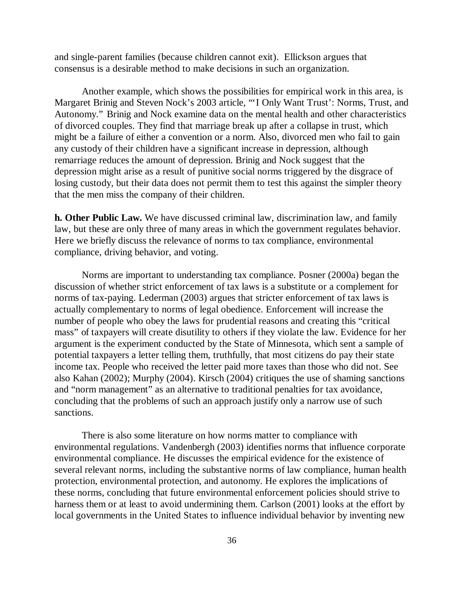and single-parent families (because children cannot exit). Ellickson argues that consensus is a desirable method to make decisions in such an organization.

Another example, which shows the possibilities for empirical work in this area, is Margaret Brinig and Steven Nock's 2003 article, "'I Only Want Trust': Norms, Trust, and Autonomy." Brinig and Nock examine data on the mental health and other characteristics of divorced couples. They find that marriage break up after a collapse in trust, which might be a failure of either a convention or a norm. Also, divorced men who fail to gain any custody of their children have a significant increase in depression, although remarriage reduces the amount of depression. Brinig and Nock suggest that the depression might arise as a result of punitive social norms triggered by the disgrace of losing custody, but their data does not permit them to test this against the simpler theory that the men miss the company of their children.

**h. Other Public Law.** We have discussed criminal law, discrimination law, and family law, but these are only three of many areas in which the government regulates behavior. Here we briefly discuss the relevance of norms to tax compliance, environmental compliance, driving behavior, and voting.

Norms are important to understanding tax compliance. Posner (2000a) began the discussion of whether strict enforcement of tax laws is a substitute or a complement for norms of tax-paying. Lederman (2003) argues that stricter enforcement of tax laws is actually complementary to norms of legal obedience. Enforcement will increase the number of people who obey the laws for prudential reasons and creating this "critical mass" of taxpayers will create disutility to others if they violate the law. Evidence for her argument is the experiment conducted by the State of Minnesota, which sent a sample of potential taxpayers a letter telling them, truthfully, that most citizens do pay their state income tax. People who received the letter paid more taxes than those who did not. See also Kahan (2002); Murphy (2004). Kirsch (2004) critiques the use of shaming sanctions and "norm management" as an alternative to traditional penalties for tax avoidance, concluding that the problems of such an approach justify only a narrow use of such sanctions.

There is also some literature on how norms matter to compliance with environmental regulations. Vandenbergh (2003) identifies norms that influence corporate environmental compliance. He discusses the empirical evidence for the existence of several relevant norms, including the substantive norms of law compliance, human health protection, environmental protection, and autonomy. He explores the implications of these norms, concluding that future environmental enforcement policies should strive to harness them or at least to avoid undermining them. Carlson (2001) looks at the effort by local governments in the United States to influence individual behavior by inventing new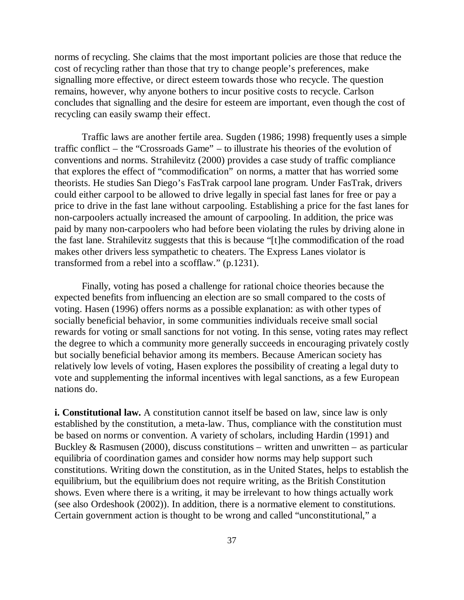norms of recycling. She claims that the most important policies are those that reduce the cost of recycling rather than those that try to change people's preferences, make signalling more effective, or direct esteem towards those who recycle. The question remains, however, why anyone bothers to incur positive costs to recycle. Carlson concludes that signalling and the desire for esteem are important, even though the cost of recycling can easily swamp their effect.

Traffic laws are another fertile area. Sugden (1986; 1998) frequently uses a simple traffic conflict – the "Crossroads Game" – to illustrate his theories of the evolution of conventions and norms. Strahilevitz (2000) provides a case study of traffic compliance that explores the effect of "commodification" on norms, a matter that has worried some theorists. He studies San Diego's FasTrak carpool lane program. Under FasTrak, drivers could either carpool to be allowed to drive legally in special fast lanes for free or pay a price to drive in the fast lane without carpooling. Establishing a price for the fast lanes for non-carpoolers actually increased the amount of carpooling. In addition, the price was paid by many non-carpoolers who had before been violating the rules by driving alone in the fast lane. Strahilevitz suggests that this is because "[t]he commodification of the road makes other drivers less sympathetic to cheaters. The Express Lanes violator is transformed from a rebel into a scofflaw." (p.1231).

Finally, voting has posed a challenge for rational choice theories because the expected benefits from influencing an election are so small compared to the costs of voting. Hasen (1996) offers norms as a possible explanation: as with other types of socially beneficial behavior, in some communities individuals receive small social rewards for voting or small sanctions for not voting. In this sense, voting rates may reflect the degree to which a community more generally succeeds in encouraging privately costly but socially beneficial behavior among its members. Because American society has relatively low levels of voting, Hasen explores the possibility of creating a legal duty to vote and supplementing the informal incentives with legal sanctions, as a few European nations do.

**i. Constitutional law.** A constitution cannot itself be based on law, since law is only established by the constitution, a meta-law. Thus, compliance with the constitution must be based on norms or convention. A variety of scholars, including Hardin (1991) and Buckley & Rasmusen (2000), discuss constitutions – written and unwritten – as particular equilibria of coordination games and consider how norms may help support such constitutions. Writing down the constitution, as in the United States, helps to establish the equilibrium, but the equilibrium does not require writing, as the British Constitution shows. Even where there is a writing, it may be irrelevant to how things actually work (see also Ordeshook (2002)). In addition, there is a normative element to constitutions. Certain government action is thought to be wrong and called "unconstitutional," a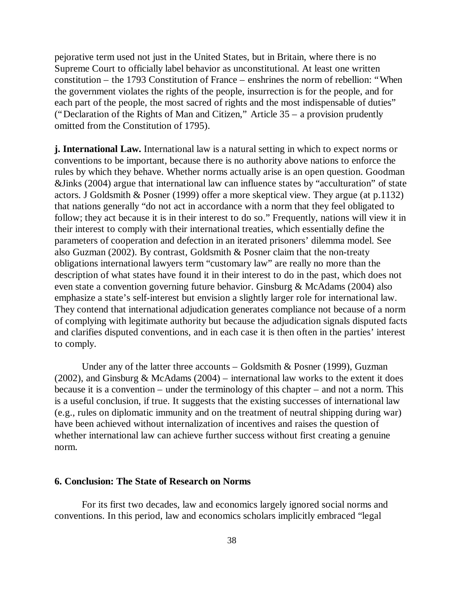pejorative term used not just in the United States, but in Britain, where there is no Supreme Court to officially label behavior as unconstitutional. At least one written constitution – the 1793 Constitution of France – enshrines the norm of rebellion: "When the government violates the rights of the people, insurrection is for the people, and for each part of the people, the most sacred of rights and the most indispensable of duties" ("Declaration of the Rights of Man and Citizen," Article 35 – a provision prudently omitted from the Constitution of 1795).

**j. International Law.** International law is a natural setting in which to expect norms or conventions to be important, because there is no authority above nations to enforce the rules by which they behave. Whether norms actually arise is an open question. Goodman &Jinks (2004) argue that international law can influence states by "acculturation" of state actors. J Goldsmith & Posner (1999) offer a more skeptical view. They argue (at p.1132) that nations generally "do not act in accordance with a norm that they feel obligated to follow; they act because it is in their interest to do so." Frequently, nations will view it in their interest to comply with their international treaties, which essentially define the parameters of cooperation and defection in an iterated prisoners' dilemma model. See also Guzman (2002). By contrast, Goldsmith & Posner claim that the non-treaty obligations international lawyers term "customary law" are really no more than the description of what states have found it in their interest to do in the past, which does not even state a convention governing future behavior. Ginsburg & McAdams (2004) also emphasize a state's self-interest but envision a slightly larger role for international law. They contend that international adjudication generates compliance not because of a norm of complying with legitimate authority but because the adjudication signals disputed facts and clarifies disputed conventions, and in each case it is then often in the parties' interest to comply.

Under any of the latter three accounts – Goldsmith & Posner (1999), Guzman (2002), and Ginsburg & McAdams (2004) – international law works to the extent it does because it is a convention – under the terminology of this chapter – and not a norm. This is a useful conclusion, if true. It suggests that the existing successes of international law (e.g., rules on diplomatic immunity and on the treatment of neutral shipping during war) have been achieved without internalization of incentives and raises the question of whether international law can achieve further success without first creating a genuine norm.

# **6. Conclusion: The State of Research on Norms**

For its first two decades, law and economics largely ignored social norms and conventions. In this period, law and economics scholars implicitly embraced "legal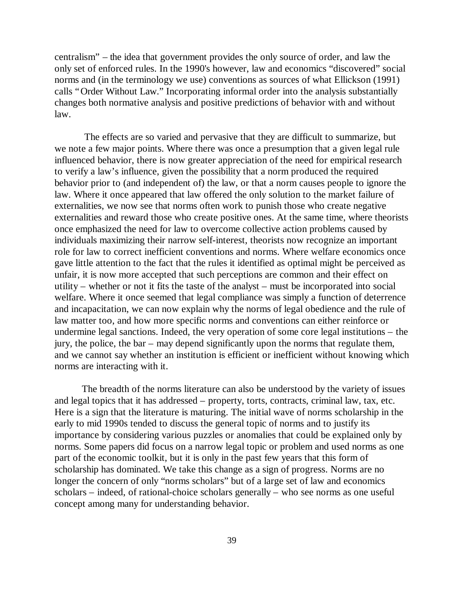centralism" – the idea that government provides the only source of order, and law the only set of enforced rules. In the 1990's however, law and economics "discovered" social norms and (in the terminology we use) conventions as sources of what Ellickson (1991) calls "Order Without Law." Incorporating informal order into the analysis substantially changes both normative analysis and positive predictions of behavior with and without law.

 The effects are so varied and pervasive that they are difficult to summarize, but we note a few major points. Where there was once a presumption that a given legal rule influenced behavior, there is now greater appreciation of the need for empirical research to verify a law's influence, given the possibility that a norm produced the required behavior prior to (and independent of) the law, or that a norm causes people to ignore the law. Where it once appeared that law offered the only solution to the market failure of externalities, we now see that norms often work to punish those who create negative externalities and reward those who create positive ones. At the same time, where theorists once emphasized the need for law to overcome collective action problems caused by individuals maximizing their narrow self-interest, theorists now recognize an important role for law to correct inefficient conventions and norms. Where welfare economics once gave little attention to the fact that the rules it identified as optimal might be perceived as unfair, it is now more accepted that such perceptions are common and their effect on utility – whether or not it fits the taste of the analyst – must be incorporated into social welfare. Where it once seemed that legal compliance was simply a function of deterrence and incapacitation, we can now explain why the norms of legal obedience and the rule of law matter too, and how more specific norms and conventions can either reinforce or undermine legal sanctions. Indeed, the very operation of some core legal institutions – the jury, the police, the bar – may depend significantly upon the norms that regulate them, and we cannot say whether an institution is efficient or inefficient without knowing which norms are interacting with it.

The breadth of the norms literature can also be understood by the variety of issues and legal topics that it has addressed – property, torts, contracts, criminal law, tax, etc. Here is a sign that the literature is maturing. The initial wave of norms scholarship in the early to mid 1990s tended to discuss the general topic of norms and to justify its importance by considering various puzzles or anomalies that could be explained only by norms. Some papers did focus on a narrow legal topic or problem and used norms as one part of the economic toolkit, but it is only in the past few years that this form of scholarship has dominated. We take this change as a sign of progress. Norms are no longer the concern of only "norms scholars" but of a large set of law and economics scholars – indeed, of rational-choice scholars generally – who see norms as one useful concept among many for understanding behavior.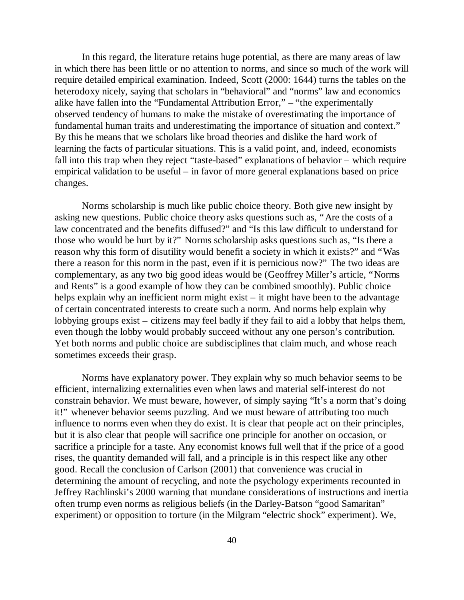In this regard, the literature retains huge potential, as there are many areas of law in which there has been little or no attention to norms, and since so much of the work will require detailed empirical examination. Indeed, Scott (2000: 1644) turns the tables on the heterodoxy nicely, saying that scholars in "behavioral" and "norms" law and economics alike have fallen into the "Fundamental Attribution Error," – "the experimentally observed tendency of humans to make the mistake of overestimating the importance of fundamental human traits and underestimating the importance of situation and context." By this he means that we scholars like broad theories and dislike the hard work of learning the facts of particular situations. This is a valid point, and, indeed, economists fall into this trap when they reject "taste-based" explanations of behavior – which require empirical validation to be useful – in favor of more general explanations based on price changes.

Norms scholarship is much like public choice theory. Both give new insight by asking new questions. Public choice theory asks questions such as, "Are the costs of a law concentrated and the benefits diffused?" and "Is this law difficult to understand for those who would be hurt by it?" Norms scholarship asks questions such as, "Is there a reason why this form of disutility would benefit a society in which it exists?" and "Was there a reason for this norm in the past, even if it is pernicious now?" The two ideas are complementary, as any two big good ideas would be (Geoffrey Miller's article, "Norms and Rents" is a good example of how they can be combined smoothly). Public choice helps explain why an inefficient norm might exist – it might have been to the advantage of certain concentrated interests to create such a norm. And norms help explain why lobbying groups exist – citizens may feel badly if they fail to aid a lobby that helps them, even though the lobby would probably succeed without any one person's contribution. Yet both norms and public choice are subdisciplines that claim much, and whose reach sometimes exceeds their grasp.

Norms have explanatory power. They explain why so much behavior seems to be efficient, internalizing externalities even when laws and material self-interest do not constrain behavior. We must beware, however, of simply saying "It's a norm that's doing it!" whenever behavior seems puzzling. And we must beware of attributing too much influence to norms even when they do exist. It is clear that people act on their principles, but it is also clear that people will sacrifice one principle for another on occasion, or sacrifice a principle for a taste. Any economist knows full well that if the price of a good rises, the quantity demanded will fall, and a principle is in this respect like any other good. Recall the conclusion of Carlson (2001) that convenience was crucial in determining the amount of recycling, and note the psychology experiments recounted in Jeffrey Rachlinski's 2000 warning that mundane considerations of instructions and inertia often trump even norms as religious beliefs (in the Darley-Batson "good Samaritan" experiment) or opposition to torture (in the Milgram "electric shock" experiment). We,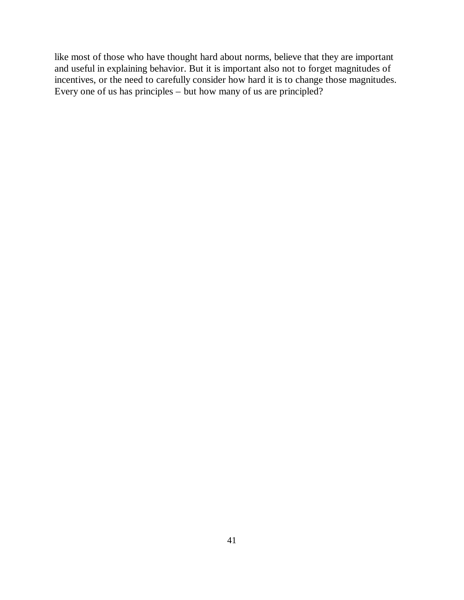like most of those who have thought hard about norms, believe that they are important and useful in explaining behavior. But it is important also not to forget magnitudes of incentives, or the need to carefully consider how hard it is to change those magnitudes. Every one of us has principles – but how many of us are principled?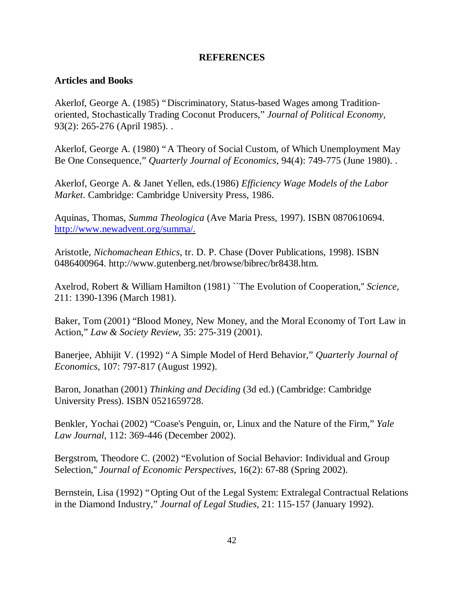## **REFERENCES**

## **Articles and Books**

Akerlof, George A. (1985) "Discriminatory, Status-based Wages among Traditionoriented, Stochastically Trading Coconut Producers," *Journal of Political Economy,* 93(2): 265-276 (April 1985). .

Akerlof, George A. (1980) "A Theory of Social Custom, of Which Unemployment May Be One Consequence," *Quarterly Journal of Economics,* 94(4): 749-775 (June 1980). .

Akerlof, George A. & Janet Yellen, eds.(1986) *Efficiency Wage Models of the Labor Market*. Cambridge: Cambridge University Press, 1986.

Aquinas, Thomas, *Summa Theologica* (Ave Maria Press, 1997). ISBN 0870610694. http://www.newadvent.org/summa/.

Aristotle, *Nichomachean Ethics*, tr. D. P. Chase (Dover Publications, 1998). ISBN 0486400964. http://www.gutenberg.net/browse/bibrec/br8438.htm.

Axelrod, Robert & William Hamilton (1981) ``The Evolution of Cooperation,'' *Science,* 211: 1390-1396 (March 1981).

Baker, Tom (2001) "Blood Money, New Money, and the Moral Economy of Tort Law in Action," *Law & Society Review,* 35: 275-319 (2001).

Banerjee, Abhijit V. (1992) "A Simple Model of Herd Behavior," *Quarterly Journal of Economics*, 107: 797-817 (August 1992).

Baron, Jonathan (2001) *Thinking and Deciding* (3d ed.) (Cambridge: Cambridge University Press). ISBN 0521659728.

Benkler, Yochai (2002) "Coase's Penguin, or, Linux and the Nature of the Firm," *Yale Law Journal*, 112: 369-446 (December 2002).

Bergstrom, Theodore C. (2002) "Evolution of Social Behavior: Individual and Group Selection,'' *Journal of Economic Perspectives*, 16(2): 67-88 (Spring 2002).

Bernstein, Lisa (1992) "Opting Out of the Legal System: Extralegal Contractual Relations in the Diamond Industry," *Journal of Legal Studies*, 21: 115-157 (January 1992).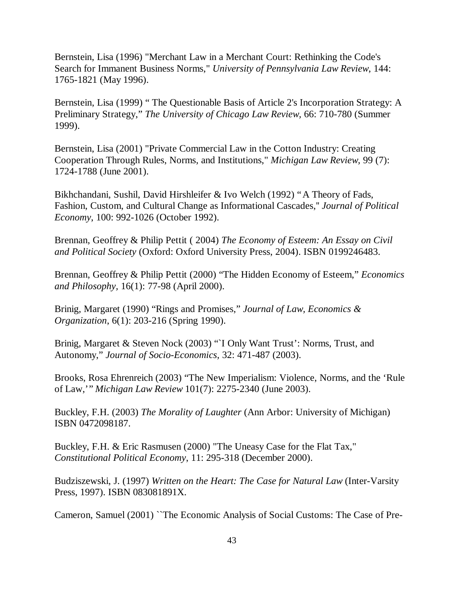Bernstein, Lisa (1996) "Merchant Law in a Merchant Court: Rethinking the Code's Search for Immanent Business Norms," *University of Pennsylvania Law Review*, 144: 1765-1821 (May 1996).

Bernstein, Lisa (1999) " The Questionable Basis of Article 2's Incorporation Strategy: A Preliminary Strategy," *The University of Chicago Law Review,* 66: 710-780 (Summer 1999).

Bernstein, Lisa (2001) "Private Commercial Law in the Cotton Industry: Creating Cooperation Through Rules, Norms, and Institutions," *Michigan Law Review,* 99 (7): 1724-1788 (June 2001).

Bikhchandani, Sushil, David Hirshleifer & Ivo Welch (1992) "A Theory of Fads, Fashion, Custom, and Cultural Change as Informational Cascades,'' *Journal of Political Economy*, 100: 992-1026 (October 1992).

Brennan, Geoffrey & Philip Pettit ( 2004) *The Economy of Esteem: An Essay on Civil and Political Society* (Oxford: Oxford University Press, 2004). ISBN 0199246483.

Brennan, Geoffrey & Philip Pettit (2000) "The Hidden Economy of Esteem," *Economics and Philosophy,* 16(1): 77-98 (April 2000).

Brinig, Margaret (1990) "Rings and Promises," *Journal of Law, Economics & Organization*, 6(1): 203-216 (Spring 1990).

Brinig, Margaret & Steven Nock (2003) "`I Only Want Trust': Norms, Trust, and Autonomy," *Journal of Socio-Economics,* 32: 471-487 (2003).

Brooks, Rosa Ehrenreich (2003) "The New Imperialism: Violence, Norms, and the 'Rule of Law,'" *Michigan Law Review* 101(7): 2275-2340 (June 2003).

Buckley, F.H. (2003) *The Morality of Laughter* (Ann Arbor: University of Michigan) ISBN 0472098187.

Buckley, F.H. & Eric Rasmusen (2000) "The Uneasy Case for the Flat Tax," *Constitutional Political Economy*, 11: 295-318 (December 2000).

Budziszewski, J. (1997) *Written on the Heart: The Case for Natural Law* (Inter-Varsity Press, 1997). ISBN 083081891X.

Cameron, Samuel (2001) ``The Economic Analysis of Social Customs: The Case of Pre-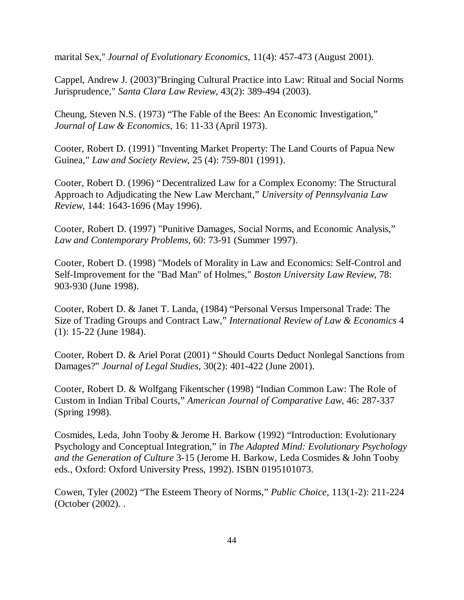marital Sex,'' *Journal of Evolutionary Economics*, 11(4): 457-473 (August 2001).

Cappel, Andrew J. (2003)"Bringing Cultural Practice into Law: Ritual and Social Norms Jurisprudence," *Santa Clara Law Review,* 43(2): 389-494 (2003).

Cheung, Steven N.S. (1973) "The Fable of the Bees: An Economic Investigation," *Journal of Law & Economics*, 16: 11-33 (April 1973).

Cooter, Robert D. (1991) "Inventing Market Property: The Land Courts of Papua New Guinea," *Law and Society Review*, 25 (4): 759-801 (1991).

Cooter, Robert D. (1996) "Decentralized Law for a Complex Economy: The Structural Approach to Adjudicating the New Law Merchant," *University of Pennsylvania Law Review,* 144: 1643-1696 (May 1996).

Cooter, Robert D. (1997) "Punitive Damages, Social Norms, and Economic Analysis," *Law and Contemporary Problems*, 60: 73-91 (Summer 1997).

Cooter, Robert D. (1998) "Models of Morality in Law and Economics: Self-Control and Self-Improvement for the "Bad Man" of Holmes," *Boston University Law Review*, 78: 903-930 (June 1998).

Cooter, Robert D. & Janet T. Landa, (1984) "Personal Versus Impersonal Trade: The Size of Trading Groups and Contract Law," *International Review of Law & Economics* 4 (1): 15-22 (June 1984).

Cooter, Robert D. & Ariel Porat (2001) "Should Courts Deduct Nonlegal Sanctions from Damages?" *Journal of Legal Studies*, 30(2): 401-422 (June 2001).

Cooter, Robert D. & Wolfgang Fikentscher (1998) "Indian Common Law: The Role of Custom in Indian Tribal Courts," *American Journal of Comparative Law,* 46: 287-337 (Spring 1998).

Cosmides, Leda, John Tooby & Jerome H. Barkow (1992) "Introduction: Evolutionary Psychology and Conceptual Integration," in *The Adapted Mind: Evolutionary Psychology and the Generation of Culture* 3-15 (Jerome H. Barkow, Leda Cosmides & John Tooby eds., Oxford: Oxford University Press, 1992). ISBN 0195101073.

Cowen, Tyler (2002) "The Esteem Theory of Norms," *Public Choice*, 113(1-2): 211-224 (October (2002). .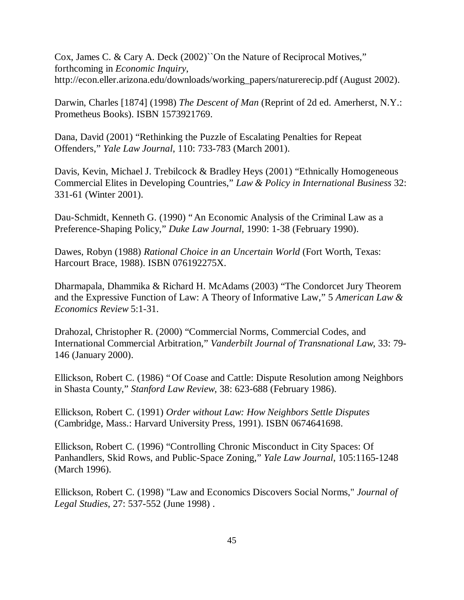Cox, James C. & Cary A. Deck (2002)``On the Nature of Reciprocal Motives," forthcoming in *Economic Inquiry*, http://econ.eller.arizona.edu/downloads/working\_papers/naturerecip.pdf (August 2002).

Darwin, Charles [1874] (1998) *The Descent of Man* (Reprint of 2d ed. Amerherst, N.Y.: Prometheus Books). ISBN 1573921769.

Dana, David (2001) "Rethinking the Puzzle of Escalating Penalties for Repeat Offenders," *Yale Law Journal*, 110: 733-783 (March 2001).

Davis, Kevin, Michael J. Trebilcock & Bradley Heys (2001) "Ethnically Homogeneous Commercial Elites in Developing Countries," *Law & Policy in International Business* 32: 331-61 (Winter 2001).

Dau-Schmidt, Kenneth G. (1990) "An Economic Analysis of the Criminal Law as a Preference-Shaping Policy," *Duke Law Journal,* 1990: 1-38 (February 1990).

Dawes, Robyn (1988) *Rational Choice in an Uncertain World* (Fort Worth, Texas: Harcourt Brace, 1988). ISBN 076192275X.

Dharmapala, Dhammika & Richard H. McAdams (2003) "The Condorcet Jury Theorem and the Expressive Function of Law: A Theory of Informative Law," 5 *American Law & Economics Review* 5:1-31.

Drahozal, Christopher R. (2000) "Commercial Norms, Commercial Codes, and International Commercial Arbitration," *Vanderbilt Journal of Transnational Law*, 33: 79- 146 (January 2000).

Ellickson, Robert C. (1986) "Of Coase and Cattle: Dispute Resolution among Neighbors in Shasta County," *Stanford Law Review*, 38: 623-688 (February 1986).

Ellickson, Robert C. (1991) *Order without Law: How Neighbors Settle Disputes* (Cambridge, Mass.: Harvard University Press, 1991). ISBN 0674641698.

Ellickson, Robert C. (1996) "Controlling Chronic Misconduct in City Spaces: Of Panhandlers, Skid Rows, and Public-Space Zoning," *Yale Law Journal*, 105:1165-1248 (March 1996).

Ellickson, Robert C. (1998) "Law and Economics Discovers Social Norms," *Journal of Legal Studies*, 27: 537-552 (June 1998) .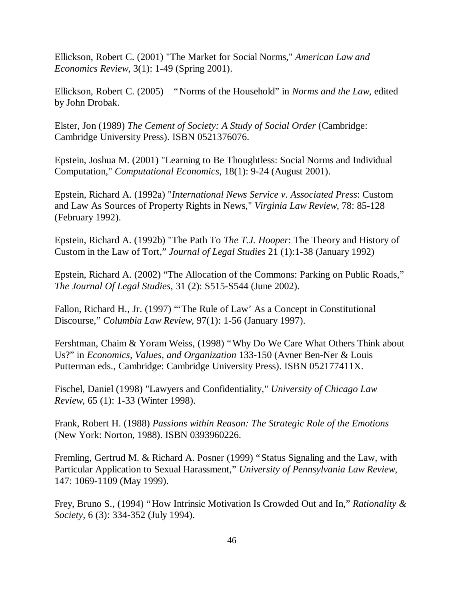Ellickson, Robert C. (2001) "The Market for Social Norms," *American Law and Economics Review*, 3(1): 1-49 (Spring 2001).

Ellickson, Robert C. (2005) "Norms of the Household" in *Norms and the Law*, edited by John Drobak.

Elster, Jon (1989) *The Cement of Society: A Study of Social Order* (Cambridge: Cambridge University Press). ISBN 0521376076.

Epstein, Joshua M. (2001) "Learning to Be Thoughtless: Social Norms and Individual Computation," *Computational Economics*, 18(1): 9-24 (August 2001).

Epstein, Richard A. (1992a) "*International News Service v. Associated Press*: Custom and Law As Sources of Property Rights in News," *Virginia Law Review,* 78: 85-128 (February 1992).

Epstein, Richard A. (1992b) "The Path To *The T.J. Hooper*: The Theory and History of Custom in the Law of Tort," *Journal of Legal Studies* 21 (1):1-38 (January 1992)

Epstein, Richard A. (2002) "The Allocation of the Commons: Parking on Public Roads," *The Journal Of Legal Studies,* 31 (2): S515-S544 (June 2002).

Fallon, Richard H., Jr. (1997) "The Rule of Law' As a Concept in Constitutional Discourse," *Columbia Law Review,* 97(1): 1-56 (January 1997).

Fershtman, Chaim & Yoram Weiss, (1998) "Why Do We Care What Others Think about Us?" in *Economics, Values, and Organization* 133-150 (Avner Ben-Ner & Louis Putterman eds., Cambridge: Cambridge University Press). ISBN 052177411X.

Fischel, Daniel (1998) "Lawyers and Confidentiality," *University of Chicago Law Review*, 65 (1): 1-33 (Winter 1998).

Frank, Robert H. (1988) *Passions within Reason: The Strategic Role of the Emotions* (New York: Norton, 1988). ISBN 0393960226.

Fremling, Gertrud M. & Richard A. Posner (1999) "Status Signaling and the Law, with Particular Application to Sexual Harassment," *University of Pennsylvania Law Review*, 147: 1069-1109 (May 1999).

Frey, Bruno S., (1994) "How Intrinsic Motivation Is Crowded Out and In," *Rationality & Society,* 6 (3): 334-352 (July 1994).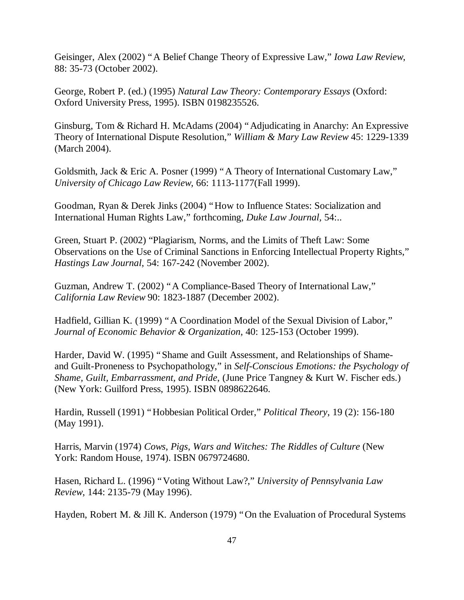Geisinger, Alex (2002) "A Belief Change Theory of Expressive Law," *Iowa Law Review*, 88: 35-73 (October 2002).

George, Robert P. (ed.) (1995) *Natural Law Theory: Contemporary Essays* (Oxford: Oxford University Press, 1995). ISBN 0198235526.

Ginsburg, Tom & Richard H. McAdams (2004) "Adjudicating in Anarchy: An Expressive Theory of International Dispute Resolution," *William & Mary Law Review* 45: 1229-1339 (March 2004).

Goldsmith, Jack & Eric A. Posner (1999) "A Theory of International Customary Law," *University of Chicago Law Review,* 66: 1113-1177(Fall 1999).

Goodman, Ryan & Derek Jinks (2004) "How to Influence States: Socialization and International Human Rights Law," forthcoming, *Duke Law Journal,* 54:..

Green, Stuart P. (2002) "Plagiarism, Norms, and the Limits of Theft Law: Some Observations on the Use of Criminal Sanctions in Enforcing Intellectual Property Rights," *Hastings Law Journal*, 54: 167-242 (November 2002).

Guzman, Andrew T. (2002) "A Compliance-Based Theory of International Law," *California Law Review* 90: 1823-1887 (December 2002).

Hadfield, Gillian K. (1999) "A Coordination Model of the Sexual Division of Labor," *Journal of Economic Behavior & Organization*, 40: 125-153 (October 1999).

Harder, David W. (1995) "Shame and Guilt Assessment, and Relationships of Shameand Guilt-Proneness to Psychopathology," in *Self-Conscious Emotions: the Psychology of Shame, Guilt, Embarrassment, and Pride*, (June Price Tangney & Kurt W. Fischer eds.) (New York: Guilford Press, 1995). ISBN 0898622646.

Hardin, Russell (1991) "Hobbesian Political Order," *Political Theory*, 19 (2): 156-180 (May 1991).

Harris, Marvin (1974) *Cows, Pigs, Wars and Witches: The Riddles of Culture* (New York: Random House, 1974). ISBN 0679724680.

Hasen, Richard L. (1996) "Voting Without Law?," *University of Pennsylvania Law Review*, 144: 2135-79 (May 1996).

Hayden, Robert M. & Jill K. Anderson (1979) "On the Evaluation of Procedural Systems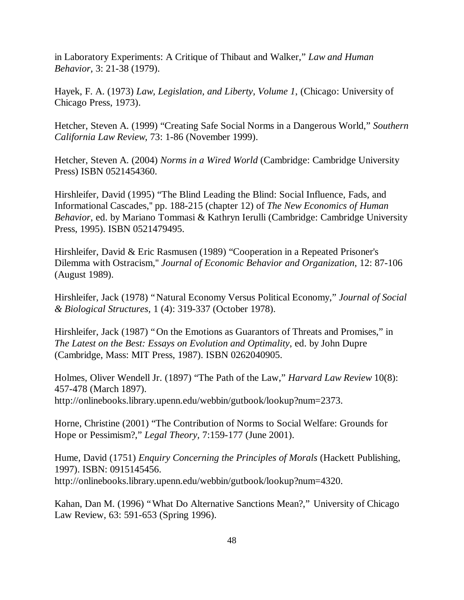in Laboratory Experiments: A Critique of Thibaut and Walker," *Law and Human Behavior,* 3: 21-38 (1979).

Hayek, F. A. (1973) *Law, Legislation, and Liberty, Volume 1*, (Chicago: University of Chicago Press, 1973).

Hetcher, Steven A. (1999) "Creating Safe Social Norms in a Dangerous World," *Southern California Law Review*, 73: 1-86 (November 1999).

Hetcher, Steven A. (2004) *Norms in a Wired World* (Cambridge: Cambridge University Press) ISBN 0521454360.

Hirshleifer, David (1995) "The Blind Leading the Blind: Social Influence, Fads, and Informational Cascades,'' pp. 188-215 (chapter 12) of *The New Economics of Human Behavior*, ed. by Mariano Tommasi & Kathryn Ierulli (Cambridge: Cambridge University Press, 1995). ISBN 0521479495.

Hirshleifer, David & Eric Rasmusen (1989) "Cooperation in a Repeated Prisoner's Dilemma with Ostracism,'' *Journal of Economic Behavior and Organization*, 12: 87-106 (August 1989).

Hirshleifer, Jack (1978) "Natural Economy Versus Political Economy," *Journal of Social & Biological Structures,* 1 (4): 319-337 (October 1978).

Hirshleifer, Jack (1987) "On the Emotions as Guarantors of Threats and Promises," in *The Latest on the Best: Essays on Evolution and Optimality*, ed. by John Dupre (Cambridge, Mass: MIT Press, 1987). ISBN 0262040905.

Holmes, Oliver Wendell Jr. (1897) "The Path of the Law," *Harvard Law Review* 10(8): 457-478 (March 1897). http://onlinebooks.library.upenn.edu/webbin/gutbook/lookup?num=2373.

Horne, Christine (2001) "The Contribution of Norms to Social Welfare: Grounds for Hope or Pessimism?," *Legal Theory,* 7:159-177 (June 2001).

Hume, David (1751) *Enquiry Concerning the Principles of Morals* (Hackett Publishing, 1997). ISBN: 0915145456. http://onlinebooks.library.upenn.edu/webbin/gutbook/lookup?num=4320.

Kahan, Dan M. (1996) "What Do Alternative Sanctions Mean?," University of Chicago Law Review, 63: 591-653 (Spring 1996).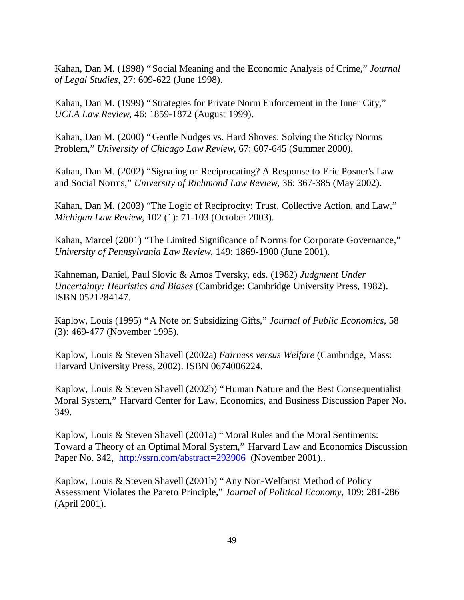Kahan, Dan M. (1998) "Social Meaning and the Economic Analysis of Crime," *Journal of Legal Studies*, 27: 609-622 (June 1998).

Kahan, Dan M. (1999) "Strategies for Private Norm Enforcement in the Inner City," *UCLA Law Review*, 46: 1859-1872 (August 1999).

Kahan, Dan M. (2000) "Gentle Nudges vs. Hard Shoves: Solving the Sticky Norms Problem," *University of Chicago Law Review*, 67: 607-645 (Summer 2000).

Kahan, Dan M. (2002) "Signaling or Reciprocating? A Response to Eric Posner's Law and Social Norms," *University of Richmond Law Review*, 36: 367-385 (May 2002).

Kahan, Dan M. (2003) "The Logic of Reciprocity: Trust, Collective Action, and Law," *Michigan Law Review*, 102 (1): 71-103 (October 2003).

Kahan, Marcel (2001) "The Limited Significance of Norms for Corporate Governance," *University of Pennsylvania Law Review*, 149: 1869-1900 (June 2001).

Kahneman, Daniel, Paul Slovic & Amos Tversky, eds. (1982) *Judgment Under Uncertainty: Heuristics and Biases* (Cambridge: Cambridge University Press, 1982). ISBN 0521284147.

Kaplow, Louis (1995) "A Note on Subsidizing Gifts," *Journal of Public Economics,* 58 (3): 469-477 (November 1995).

Kaplow, Louis & Steven Shavell (2002a) *Fairness versus Welfare* (Cambridge, Mass: Harvard University Press, 2002). ISBN 0674006224.

Kaplow, Louis & Steven Shavell (2002b) "Human Nature and the Best Consequentialist Moral System," Harvard Center for Law, Economics, and Business Discussion Paper No. 349.

Kaplow, Louis & Steven Shavell (2001a) "Moral Rules and the Moral Sentiments: Toward a Theory of an Optimal Moral System," Harvard Law and Economics Discussion Paper No. 342, http://ssrn.com/abstract=293906 (November 2001)..

Kaplow, Louis & Steven Shavell (2001b) "Any Non-Welfarist Method of Policy Assessment Violates the Pareto Principle," *Journal of Political Economy*, 109: 281-286 (April 2001).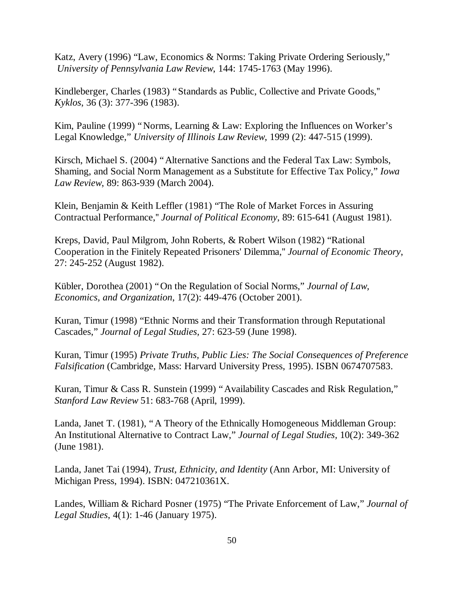Katz, Avery (1996) "Law, Economics & Norms: Taking Private Ordering Seriously," *University of Pennsylvania Law Review*, 144: 1745-1763 (May 1996).

Kindleberger, Charles (1983) "Standards as Public, Collective and Private Goods,'' *Kyklos*, 36 (3): 377-396 (1983).

Kim, Pauline (1999) "Norms, Learning & Law: Exploring the Influences on Worker's Legal Knowledge," *University of Illinois Law Review*, 1999 (2): 447-515 (1999).

Kirsch, Michael S. (2004) "Alternative Sanctions and the Federal Tax Law: Symbols, Shaming, and Social Norm Management as a Substitute for Effective Tax Policy," *Iowa Law Review*, 89: 863-939 (March 2004).

Klein, Benjamin & Keith Leffler (1981) "The Role of Market Forces in Assuring Contractual Performance,'' *Journal of Political Economy*, 89: 615-641 (August 1981).

Kreps, David, Paul Milgrom, John Roberts, & Robert Wilson (1982) "Rational Cooperation in the Finitely Repeated Prisoners' Dilemma,'' *Journal of Economic Theory*, 27: 245-252 (August 1982).

Kübler, Dorothea (2001) "On the Regulation of Social Norms," *Journal of Law, Economics, and Organization*, 17(2): 449-476 (October 2001).

Kuran, Timur (1998) "Ethnic Norms and their Transformation through Reputational Cascades," *Journal of Legal Studies,* 27: 623-59 (June 1998).

Kuran, Timur (1995) *Private Truths, Public Lies: The Social Consequences of Preference Falsification* (Cambridge, Mass: Harvard University Press, 1995). ISBN 0674707583.

Kuran, Timur & Cass R. Sunstein (1999) "Availability Cascades and Risk Regulation," *Stanford Law Review* 51: 683-768 (April, 1999).

Landa, Janet T. (1981), "A Theory of the Ethnically Homogeneous Middleman Group: An Institutional Alternative to Contract Law," *Journal of Legal Studies,* 10(2): 349-362 (June 1981).

Landa, Janet Tai (1994), *Trust, Ethnicity, and Identity* (Ann Arbor, MI: University of Michigan Press, 1994). ISBN: 047210361X.

Landes, William & Richard Posner (1975) "The Private Enforcement of Law," *Journal of Legal Studies*, 4(1): 1-46 (January 1975).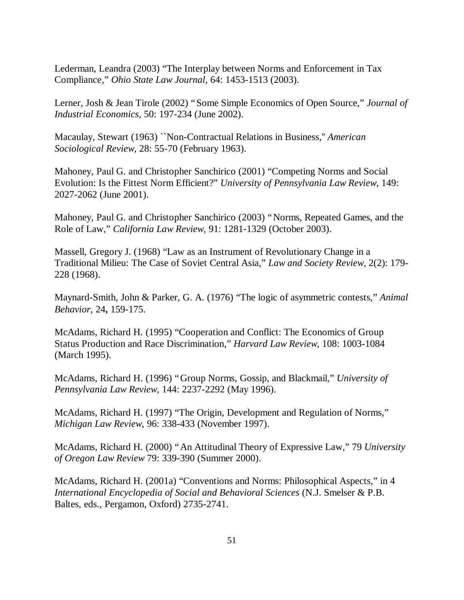Lederman, Leandra (2003) "The Interplay between Norms and Enforcement in Tax Compliance," *Ohio State Law Journal,* 64: 1453-1513 (2003).

Lerner, Josh & Jean Tirole (2002) "Some Simple Economics of Open Source," *Journal of Industrial Economics,* 50: 197-234 (June 2002).

Macaulay, Stewart (1963) ``Non-Contractual Relations in Business,'' *American Sociological Review*, 28: 55-70 (February 1963).

Mahoney, Paul G. and Christopher Sanchirico (2001) "Competing Norms and Social Evolution: Is the Fittest Norm Efficient?" *University of Pennsylvania Law Review*, 149: 2027-2062 (June 2001).

Mahoney, Paul G. and Christopher Sanchirico (2003) "Norms, Repeated Games, and the Role of Law," *California Law Review,* 91: 1281-1329 (October 2003).

Massell, Gregory J. (1968) "Law as an Instrument of Revolutionary Change in a Traditional Milieu: The Case of Soviet Central Asia," *Law and Society Review*, 2(2): 179- 228 (1968).

Maynard-Smith, John & Parker, G. A. (1976) "The logic of asymmetric contests," *Animal Behavior,* 24**,** 159-175.

McAdams, Richard H. (1995) "Cooperation and Conflict: The Economics of Group Status Production and Race Discrimination," *Harvard Law Review*, 108: 1003-1084 (March 1995).

McAdams, Richard H. (1996) "Group Norms, Gossip, and Blackmail," *University of Pennsylvania Law Review*, 144: 2237-2292 (May 1996).

McAdams, Richard H. (1997) "The Origin, Development and Regulation of Norms," *Michigan Law Review*, 96: 338-433 (November 1997).

McAdams, Richard H. (2000) "An Attitudinal Theory of Expressive Law," 79 *University of Oregon Law Review* 79: 339-390 (Summer 2000).

McAdams, Richard H. (2001a) "Conventions and Norms: Philosophical Aspects," in 4 *International Encyclopedia of Social and Behavioral Sciences* (N.J. Smelser & P.B. Baltes, eds., Pergamon, Oxford) 2735-2741.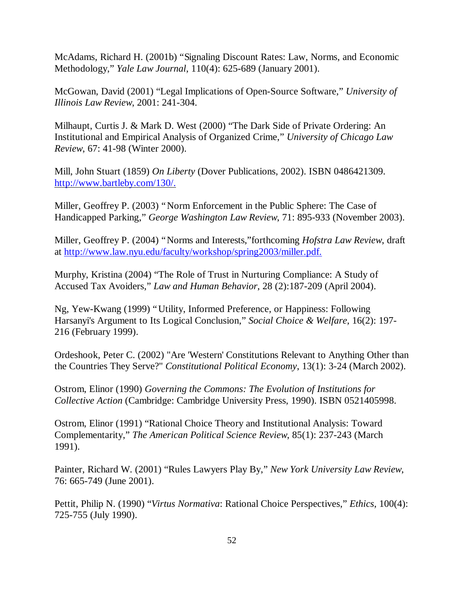McAdams, Richard H. (2001b) "Signaling Discount Rates: Law, Norms, and Economic Methodology," *Yale Law Journal*, 110(4): 625-689 (January 2001).

McGowan, David (2001) "Legal Implications of Open-Source Software," *University of Illinois Law Review*, 2001: 241-304.

Milhaupt, Curtis J. & Mark D. West (2000) "The Dark Side of Private Ordering: An Institutional and Empirical Analysis of Organized Crime," *University of Chicago Law Review*, 67: 41-98 (Winter 2000).

Mill, John Stuart (1859) *On Liberty* (Dover Publications, 2002). ISBN 0486421309. http://www.bartleby.com/130/.

Miller, Geoffrey P. (2003) "Norm Enforcement in the Public Sphere: The Case of Handicapped Parking," *George Washington Law Review*, 71: 895-933 (November 2003).

Miller, Geoffrey P. (2004) "Norms and Interests,"forthcoming *Hofstra Law Review*, draft at http://www.law.nyu.edu/faculty/workshop/spring2003/miller.pdf.

Murphy, Kristina (2004) "The Role of Trust in Nurturing Compliance: A Study of Accused Tax Avoiders," *Law and Human Behavior*, 28 (2):187-209 (April 2004).

Ng, Yew-Kwang (1999) "Utility, Informed Preference, or Happiness: Following Harsanyi's Argument to Its Logical Conclusion," *Social Choice & Welfare,* 16(2): 197- 216 (February 1999).

Ordeshook, Peter C. (2002) "Are 'Western' Constitutions Relevant to Anything Other than the Countries They Serve?" *Constitutional Political Economy*, 13(1): 3-24 (March 2002).

Ostrom, Elinor (1990) *Governing the Commons: The Evolution of Institutions for Collective Action* (Cambridge: Cambridge University Press, 1990). ISBN 0521405998.

Ostrom, Elinor (1991) "Rational Choice Theory and Institutional Analysis: Toward Complementarity," *The American Political Science Review*, 85(1): 237-243 (March 1991).

Painter, Richard W. (2001) "Rules Lawyers Play By," *New York University Law Review*, 76: 665-749 (June 2001).

Pettit, Philip N. (1990) "*Virtus Normativa*: Rational Choice Perspectives," *Ethics*, 100(4): 725-755 (July 1990).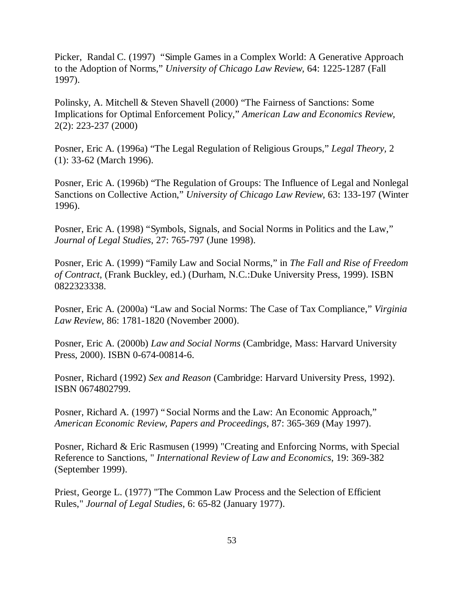Picker, Randal C. (1997) "Simple Games in a Complex World: A Generative Approach to the Adoption of Norms," *University of Chicago Law Review*, 64: 1225-1287 (Fall 1997).

Polinsky, A. Mitchell & Steven Shavell (2000) "The Fairness of Sanctions: Some Implications for Optimal Enforcement Policy," *American Law and Economics Review,* 2(2): 223-237 (2000)

Posner, Eric A. (1996a) "The Legal Regulation of Religious Groups," *Legal Theory,* 2 (1): 33-62 (March 1996).

Posner, Eric A. (1996b) "The Regulation of Groups: The Influence of Legal and Nonlegal Sanctions on Collective Action," *University of Chicago Law Review*, 63: 133-197 (Winter 1996).

Posner, Eric A. (1998) "Symbols, Signals, and Social Norms in Politics and the Law," *Journal of Legal Studies*, 27: 765-797 (June 1998).

Posner, Eric A. (1999) "Family Law and Social Norms," in *The Fall and Rise of Freedom of Contract*, (Frank Buckley, ed.) (Durham, N.C.:Duke University Press, 1999). ISBN 0822323338.

Posner, Eric A. (2000a) "Law and Social Norms: The Case of Tax Compliance," *Virginia Law Review*, 86: 1781-1820 (November 2000).

Posner, Eric A. (2000b) *Law and Social Norms* (Cambridge, Mass: Harvard University Press, 2000). ISBN 0-674-00814-6.

Posner, Richard (1992) *Sex and Reason* (Cambridge: Harvard University Press, 1992). ISBN 0674802799.

Posner, Richard A. (1997) "Social Norms and the Law: An Economic Approach," *American Economic Review, Papers and Proceedings*, 87: 365-369 (May 1997).

Posner, Richard & Eric Rasmusen (1999) "Creating and Enforcing Norms, with Special Reference to Sanctions, " *International Review of Law and Economics*, 19: 369-382 (September 1999).

Priest, George L. (1977) "The Common Law Process and the Selection of Efficient Rules," *Journal of Legal Studies*, 6: 65-82 (January 1977).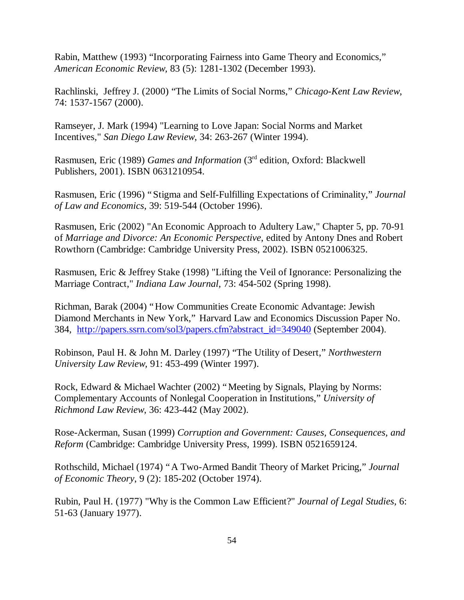Rabin, Matthew (1993) "Incorporating Fairness into Game Theory and Economics," *American Economic Review,* 83 (5): 1281-1302 (December 1993).

Rachlinski, Jeffrey J. (2000) "The Limits of Social Norms," *Chicago-Kent Law Review*, 74: 1537-1567 (2000).

Ramseyer, J. Mark (1994) "Learning to Love Japan: Social Norms and Market Incentives," *San Diego Law Review*, 34: 263-267 (Winter 1994).

Rasmusen, Eric (1989) *Games and Information* (3rd edition, Oxford: Blackwell Publishers, 2001). ISBN 0631210954.

Rasmusen, Eric (1996) "Stigma and Self-Fulfilling Expectations of Criminality," *Journal of Law and Economics*, 39: 519-544 (October 1996).

Rasmusen, Eric (2002) "An Economic Approach to Adultery Law," Chapter 5, pp. 70-91 of *Marriage and Divorce: An Economic Perspective*, edited by Antony Dnes and Robert Rowthorn (Cambridge: Cambridge University Press, 2002). ISBN 0521006325.

Rasmusen, Eric & Jeffrey Stake (1998) "Lifting the Veil of Ignorance: Personalizing the Marriage Contract," *Indiana Law Journal*, 73: 454-502 (Spring 1998).

Richman, Barak (2004) "How Communities Create Economic Advantage: Jewish Diamond Merchants in New York," Harvard Law and Economics Discussion Paper No. 384, http://papers.ssrn.com/sol3/papers.cfm?abstract\_id=349040 (September 2004).

Robinson, Paul H. & John M. Darley (1997) "The Utility of Desert," *Northwestern University Law Review,* 91: 453-499 (Winter 1997).

Rock, Edward & Michael Wachter (2002) "Meeting by Signals, Playing by Norms: Complementary Accounts of Nonlegal Cooperation in Institutions," *University of Richmond Law Review*, 36: 423-442 (May 2002).

Rose-Ackerman, Susan (1999) *Corruption and Government: Causes, Consequences, and Reform* (Cambridge: Cambridge University Press, 1999). ISBN 0521659124.

Rothschild, Michael (1974) "A Two-Armed Bandit Theory of Market Pricing," *Journal of Economic Theory*, 9 (2): 185-202 (October 1974).

Rubin, Paul H. (1977) "Why is the Common Law Efficient?" *Journal of Legal Studies*, 6: 51-63 (January 1977).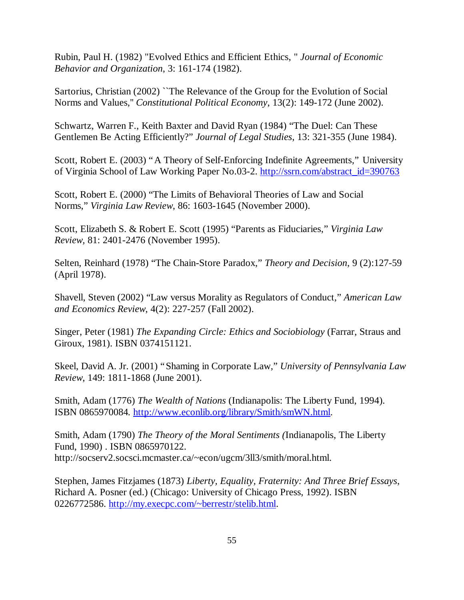Rubin, Paul H. (1982) "Evolved Ethics and Efficient Ethics, " *Journal of Economic Behavior and Organization*, 3: 161-174 (1982).

Sartorius, Christian (2002) ``The Relevance of the Group for the Evolution of Social Norms and Values,'' *Constitutional Political Economy*, 13(2): 149-172 (June 2002).

Schwartz, Warren F., Keith Baxter and David Ryan (1984) "The Duel: Can These Gentlemen Be Acting Efficiently?" *Journal of Legal Studies*, 13: 321-355 (June 1984).

Scott, Robert E. (2003) "A Theory of Self-Enforcing Indefinite Agreements," University of Virginia School of Law Working Paper No.03-2. http://ssrn.com/abstract\_id=390763

Scott, Robert E. (2000) "The Limits of Behavioral Theories of Law and Social Norms," *Virginia Law Review*, 86: 1603-1645 (November 2000).

Scott, Elizabeth S. & Robert E. Scott (1995) "Parents as Fiduciaries," *Virginia Law Review,* 81: 2401-2476 (November 1995).

Selten, Reinhard (1978) "The Chain-Store Paradox," *Theory and Decision*, 9 (2):127-59 (April 1978).

Shavell, Steven (2002) "Law versus Morality as Regulators of Conduct," *American Law and Economics Review*, 4(2): 227-257 (Fall 2002).

Singer, Peter (1981) *The Expanding Circle: Ethics and Sociobiology* (Farrar, Straus and Giroux, 1981). ISBN 0374151121.

Skeel, David A. Jr. (2001) "Shaming in Corporate Law," *University of Pennsylvania Law Review*, 149: 1811-1868 (June 2001).

Smith, Adam (1776) *The Wealth of Nations* (Indianapolis: The Liberty Fund, 1994)*.* ISBN 0865970084*.* http://www.econlib.org/library/Smith/smWN.html.

Smith, Adam (1790) *The Theory of the Moral Sentiments (*Indianapolis, The Liberty Fund, 1990) . ISBN 0865970122. http://socserv2.socsci.mcmaster.ca/~econ/ugcm/3ll3/smith/moral.html.

Stephen, James Fitzjames (1873) *Liberty, Equality, Fraternity: And Three Brief Essays*, Richard A. Posner (ed.) (Chicago: University of Chicago Press, 1992). ISBN 0226772586. http://my.execpc.com/~berrestr/stelib.html.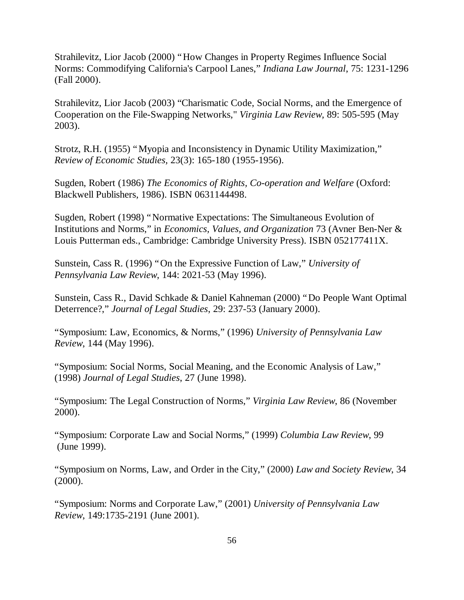Strahilevitz, Lior Jacob (2000) "How Changes in Property Regimes Influence Social Norms: Commodifying California's Carpool Lanes," *Indiana Law Journal*, 75: 1231-1296 (Fall 2000).

Strahilevitz, Lior Jacob (2003) "Charismatic Code, Social Norms, and the Emergence of Cooperation on the File-Swapping Networks," *Virginia Law Review,* 89: 505-595 (May 2003).

Strotz, R.H. (1955) "Myopia and Inconsistency in Dynamic Utility Maximization," *Review of Economic Studies,* 23(3): 165-180 (1955-1956).

Sugden, Robert (1986) *The Economics of Rights, Co-operation and Welfare* (Oxford: Blackwell Publishers, 1986). ISBN 0631144498.

Sugden, Robert (1998) "Normative Expectations: The Simultaneous Evolution of Institutions and Norms," in *Economics, Values, and Organization* 73 (Avner Ben-Ner & Louis Putterman eds., Cambridge: Cambridge University Press). ISBN 052177411X.

Sunstein, Cass R. (1996) "On the Expressive Function of Law," *University of Pennsylvania Law Review*, 144: 2021-53 (May 1996).

Sunstein, Cass R., David Schkade & Daniel Kahneman (2000) "Do People Want Optimal Deterrence?," *Journal of Legal Studies*, 29: 237-53 (January 2000).

"Symposium: Law, Economics, & Norms," (1996) *University of Pennsylvania Law Review*, 144 (May 1996).

"Symposium: Social Norms, Social Meaning, and the Economic Analysis of Law," (1998) *Journal of Legal Studies*, 27 (June 1998).

"Symposium: The Legal Construction of Norms," *Virginia Law Review*, 86 (November 2000).

"Symposium: Corporate Law and Social Norms," (1999) *Columbia Law Review*, 99 (June 1999).

"Symposium on Norms, Law, and Order in the City," (2000) *Law and Society Review*, 34 (2000).

"Symposium: Norms and Corporate Law," (2001) *University of Pennsylvania Law Review*, 149:1735-2191 (June 2001).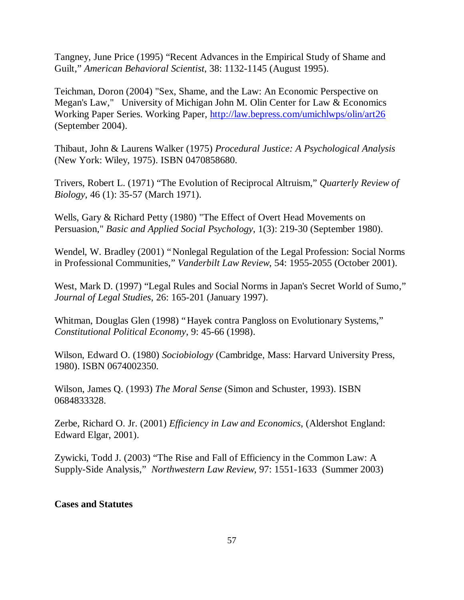Tangney, June Price (1995) "Recent Advances in the Empirical Study of Shame and Guilt," *American Behavioral Scientist*, 38: 1132-1145 (August 1995).

Teichman, Doron (2004) "Sex, Shame, and the Law: An Economic Perspective on Megan's Law," University of Michigan John M. Olin Center for Law & Economics Working Paper Series. Working Paper, http://law.bepress.com/umichlwps/olin/art26 (September 2004).

Thibaut, John & Laurens Walker (1975) *Procedural Justice: A Psychological Analysis* (New York: Wiley, 1975). ISBN 0470858680.

Trivers, Robert L. (1971) "The Evolution of Reciprocal Altruism," *Quarterly Review of Biology*, 46 (1): 35-57 (March 1971).

Wells, Gary & Richard Petty (1980) "The Effect of Overt Head Movements on Persuasion," *Basic and Applied Social Psychology*, 1(3): 219-30 (September 1980).

Wendel, W. Bradley (2001) "Nonlegal Regulation of the Legal Profession: Social Norms in Professional Communities," *Vanderbilt Law Review*, 54: 1955-2055 (October 2001).

West, Mark D. (1997) "Legal Rules and Social Norms in Japan's Secret World of Sumo," *Journal of Legal Studies*, 26: 165-201 (January 1997).

Whitman, Douglas Glen (1998) "Hayek contra Pangloss on Evolutionary Systems," *Constitutional Political Economy*, 9: 45-66 (1998).

Wilson, Edward O. (1980) *Sociobiology* (Cambridge, Mass: Harvard University Press, 1980). ISBN 0674002350.

Wilson, James Q. (1993) *The Moral Sense* (Simon and Schuster, 1993). ISBN 0684833328.

Zerbe, Richard O. Jr. (2001) *Efficiency in Law and Economics*, (Aldershot England: Edward Elgar, 2001).

Zywicki, Todd J. (2003) "The Rise and Fall of Efficiency in the Common Law: A Supply-Side Analysis," *Northwestern Law Review*, 97: 1551-1633 (Summer 2003)

## **Cases and Statutes**